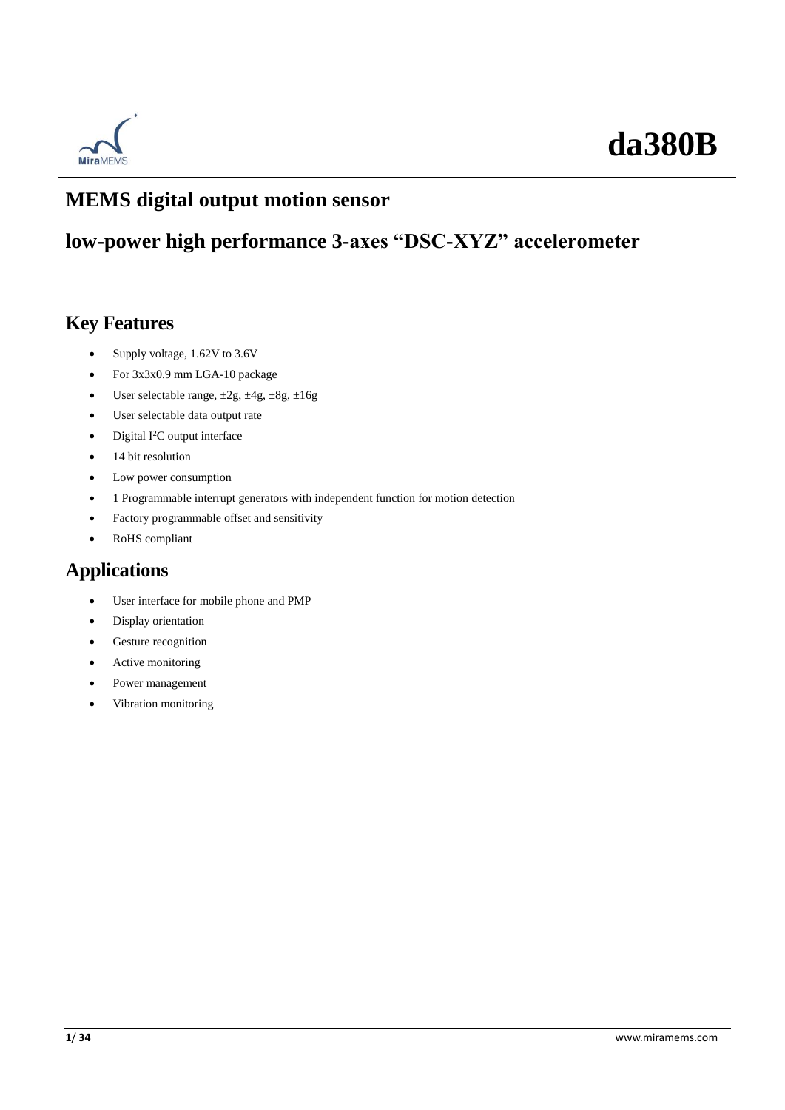

### **MEMS digital output motion sensor**

### **low-power high performance 3-axes "DSC-XYZ" accelerometer**

### **Key Features**

- Supply voltage, 1.62V to 3.6V
- For 3x3x0.9 mm LGA-10 package
- User selectable range, ±2g, ±4g, ±8g, ±16g
- User selectable data output rate
- Digital I<sup>2</sup>C output interface
- 14 bit resolution
- Low power consumption
- 1 Programmable interrupt generators with independent function for motion detection
- Factory programmable offset and sensitivity
- RoHS compliant

### **Applications**

- User interface for mobile phone and PMP
- Display orientation
- Gesture recognition
- Active monitoring
- Power management
- Vibration monitoring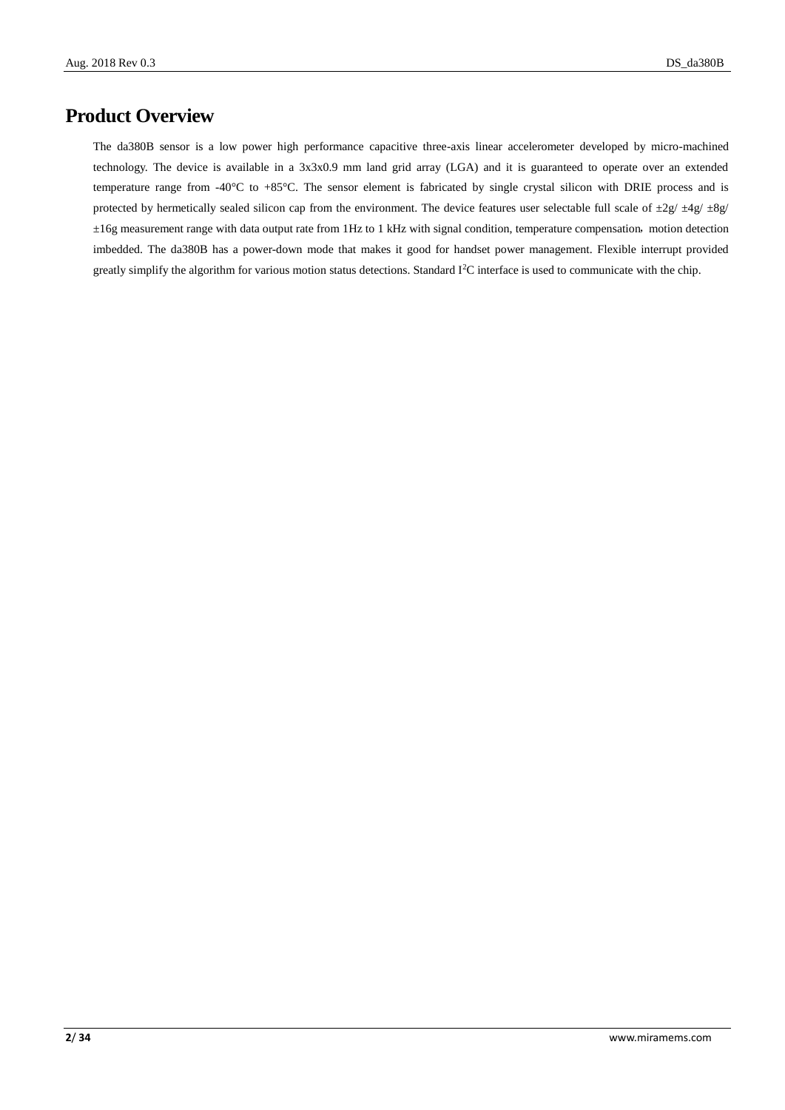### **Product Overview**

The da380B sensor is a low power high performance capacitive three-axis linear accelerometer developed by micro-machined technology. The device is available in a 3x3x0.9 mm land grid array (LGA) and it is guaranteed to operate over an extended temperature range from -40 $\degree$ C to +85 $\degree$ C. The sensor element is fabricated by single crystal silicon with DRIE process and is protected by hermetically sealed silicon cap from the environment. The device features user selectable full scale of  $\pm 2g/\pm 4g/\pm 8g/\sqrt{g}$  $\pm 16$ g measurement range with data output rate from 1Hz to 1 kHz with signal condition, temperature compensation, motion detection imbedded. The da380B has a power-down mode that makes it good for handset power management. Flexible interrupt provided greatly simplify the algorithm for various motion status detections. Standard I2C interface is used to communicate with the chip.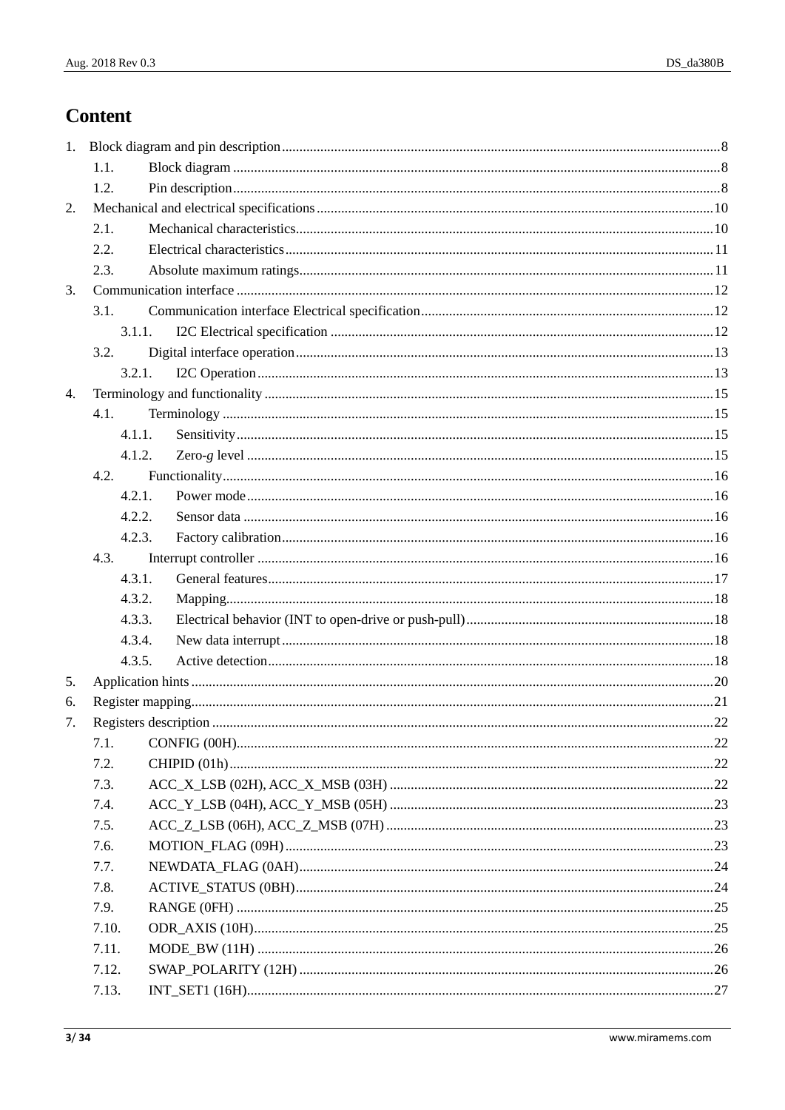### **Content**

| 1. |        |  |
|----|--------|--|
|    | 1.1.   |  |
|    | 1.2.   |  |
| 2. |        |  |
|    | 2.1.   |  |
|    | 2.2.   |  |
|    | 2.3.   |  |
| 3. |        |  |
|    | 3.1.   |  |
|    | 3.1.1. |  |
|    | 3.2.   |  |
|    | 3.2.1. |  |
| 4. |        |  |
|    | 4.1.   |  |
|    | 4.1.1. |  |
|    | 4.1.2. |  |
|    | 4.2.   |  |
|    | 4.2.1. |  |
|    | 4.2.2. |  |
|    | 4.2.3. |  |
|    | 4.3.   |  |
|    | 4.3.1. |  |
|    | 4.3.2. |  |
|    | 4.3.3. |  |
|    | 4.3.4. |  |
|    | 4.3.5. |  |
| 5. |        |  |
| 6. |        |  |
| 7. |        |  |
|    | 7.1.   |  |
|    | 7.2.   |  |
|    | 7.3.   |  |
|    | 7.4.   |  |
|    | 7.5.   |  |
|    | 7.6.   |  |
|    | 7.7.   |  |
|    | 7.8.   |  |
|    | 7.9.   |  |
|    | 7.10.  |  |
|    | 7.11.  |  |
|    | 7.12.  |  |
|    | 7.13.  |  |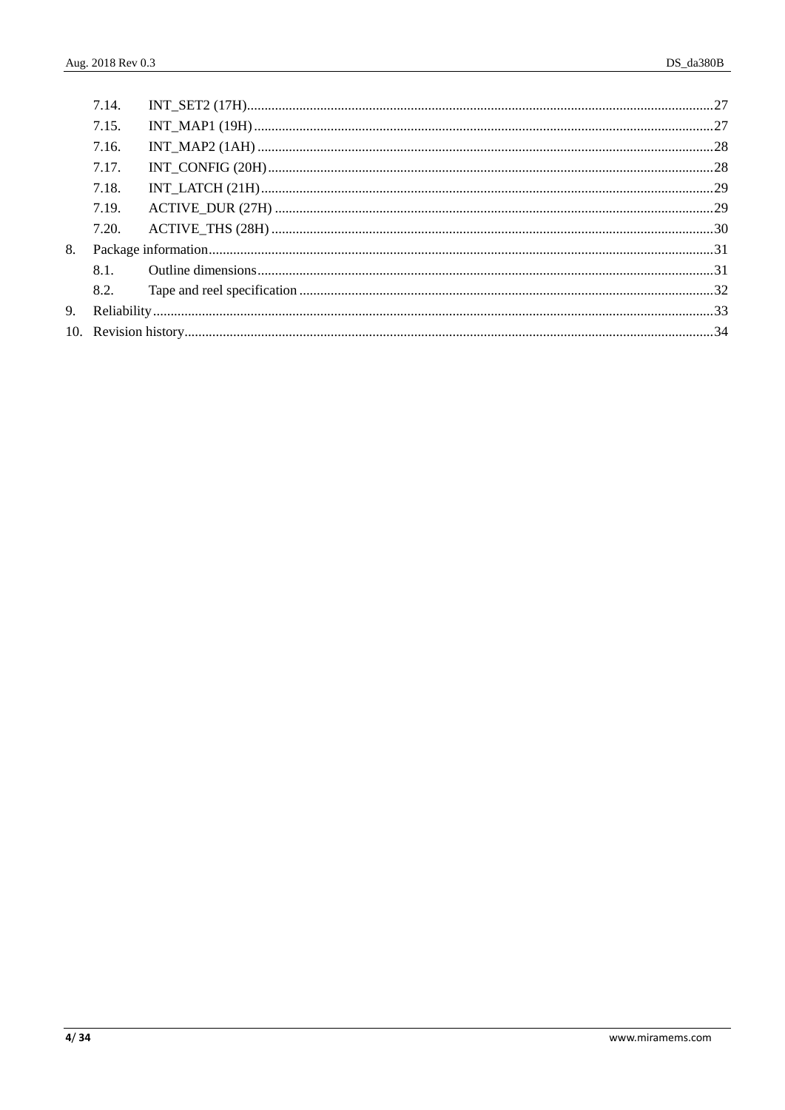|    | 7.14. |  |
|----|-------|--|
|    | 7.15. |  |
|    | 7.16. |  |
|    | 7.17. |  |
|    | 7.18. |  |
|    | 7.19. |  |
|    | 7.20. |  |
| 8. |       |  |
|    | 8.1   |  |
|    | 8.2.  |  |
|    |       |  |
|    |       |  |
|    |       |  |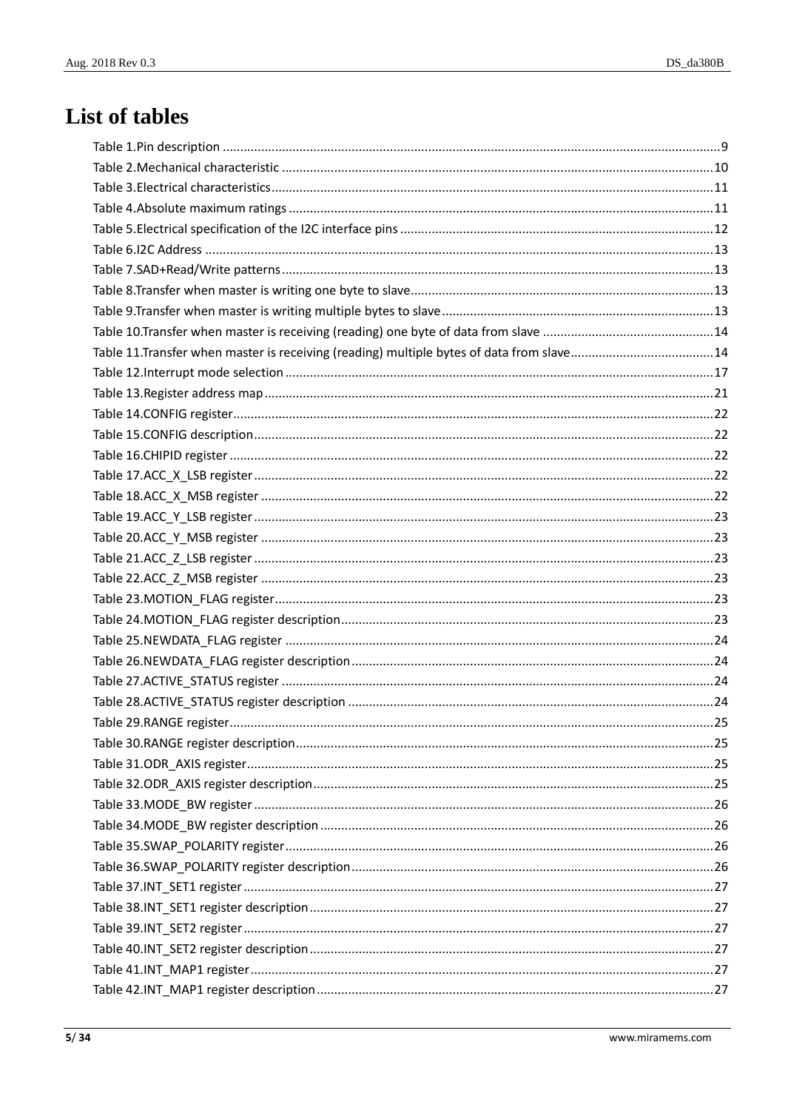### List of tables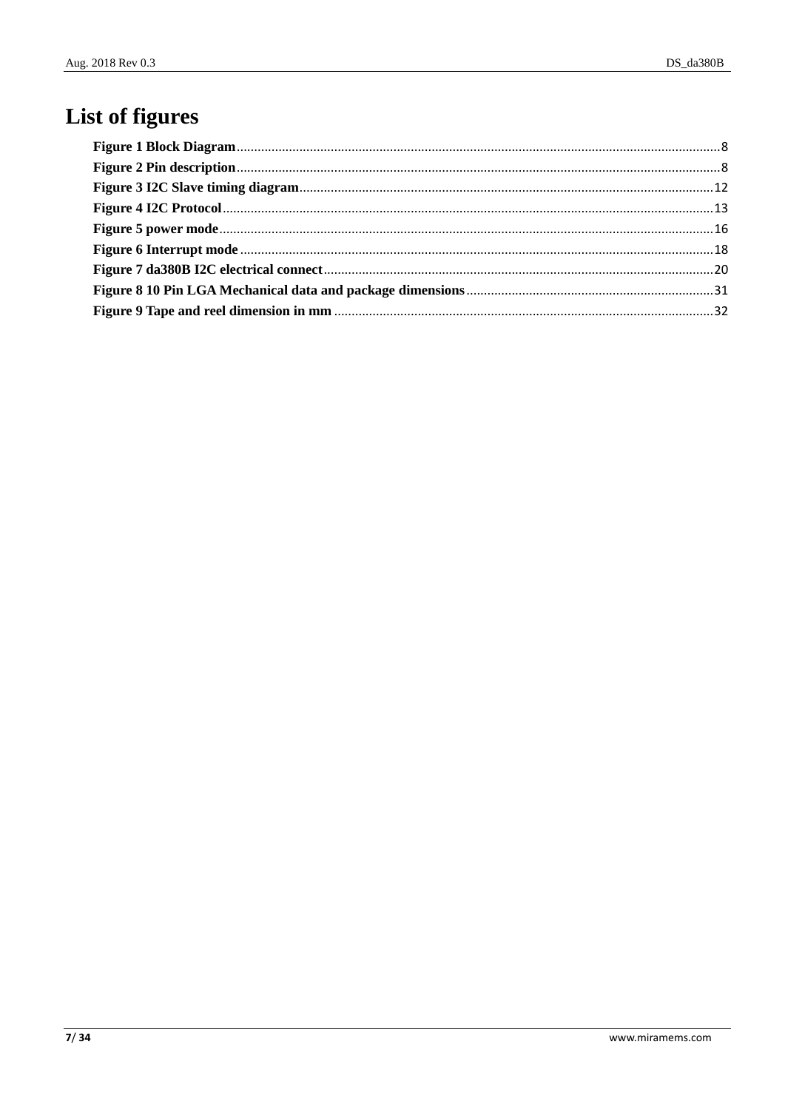## List of figures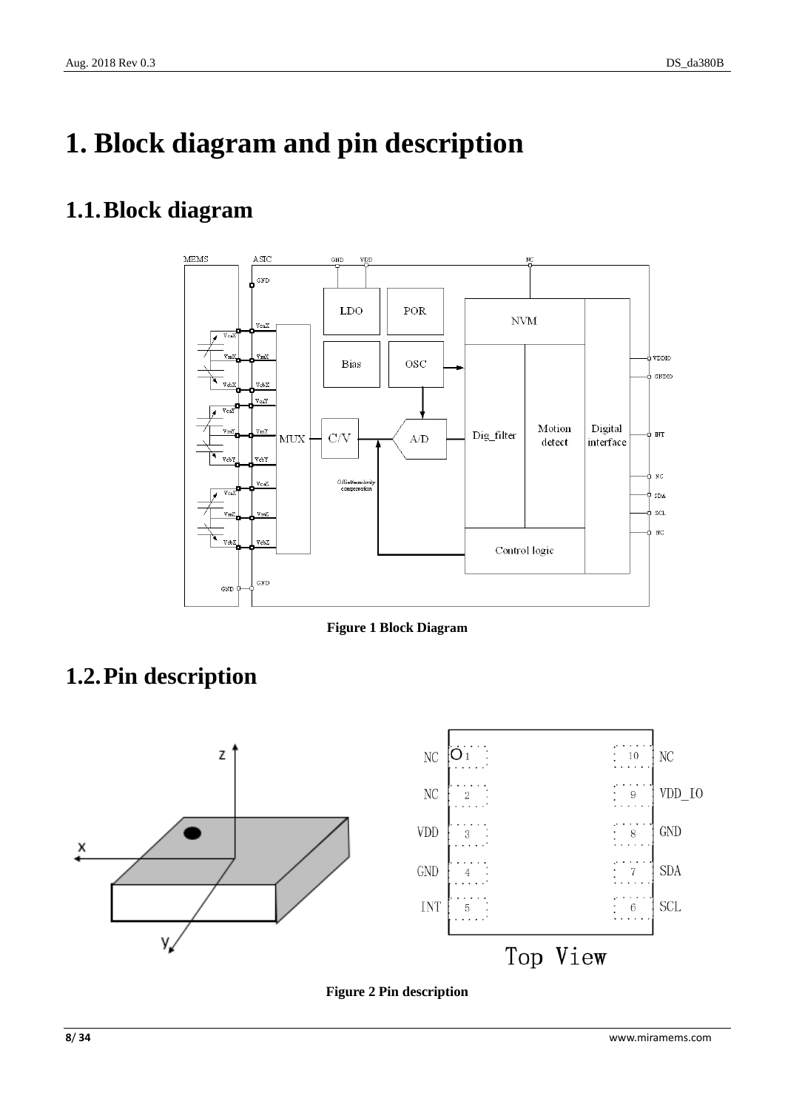# <span id="page-7-0"></span>**1. Block diagram and pin description**

### <span id="page-7-1"></span>**1.1.Block diagram**



**Figure 1 Block Diagram**

## <span id="page-7-3"></span><span id="page-7-2"></span>**1.2.Pin description**



<span id="page-7-4"></span>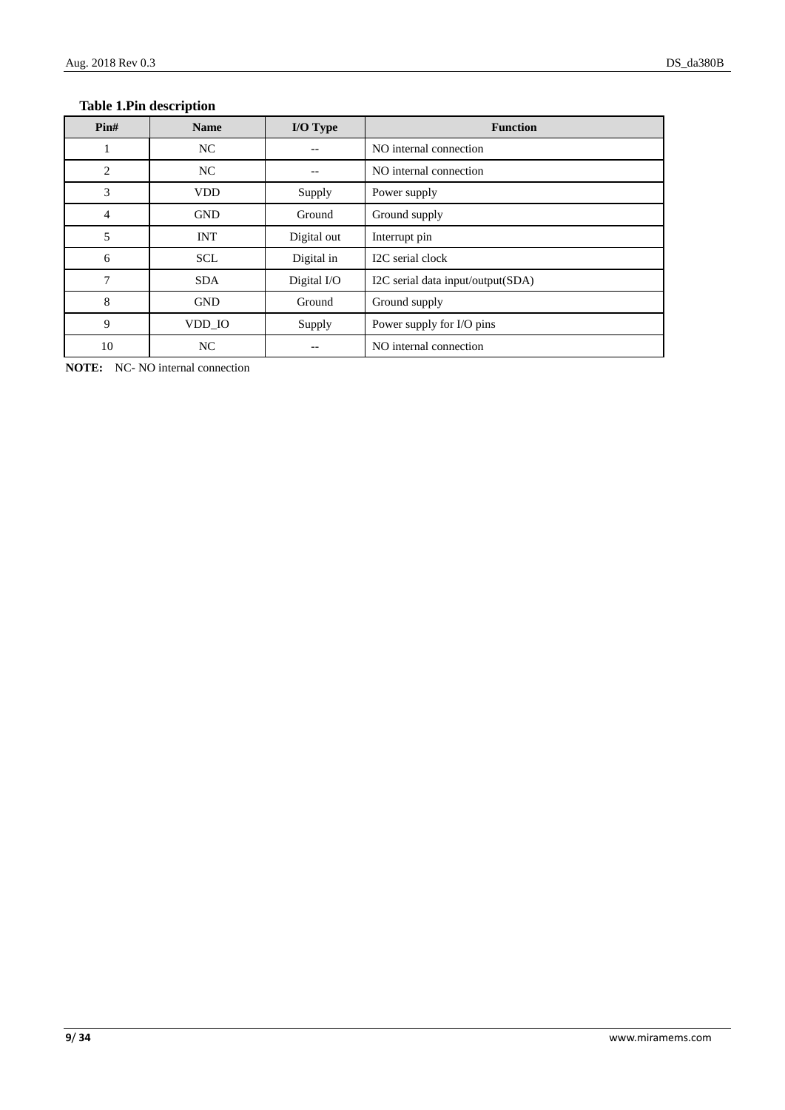#### <span id="page-8-0"></span>**Table 1.Pin description**

| $\text{Pin}\#$ | <b>Name</b> | I/O Type    | <b>Function</b>                   |  |
|----------------|-------------|-------------|-----------------------------------|--|
|                | NC          |             | NO internal connection            |  |
| $\overline{2}$ | NC          |             | NO internal connection            |  |
| 3              | <b>VDD</b>  | Supply      | Power supply                      |  |
| 4              | <b>GND</b>  | Ground      | Ground supply                     |  |
| 5              | <b>INT</b>  | Digital out | Interrupt pin                     |  |
| 6              | <b>SCL</b>  | Digital in  | I2C serial clock                  |  |
| 7              | <b>SDA</b>  | Digital I/O | I2C serial data input/output(SDA) |  |
| 8              | <b>GND</b>  | Ground      | Ground supply                     |  |
| 9              | VDD_IO      | Supply      | Power supply for I/O pins         |  |
| 10             | NC          |             | NO internal connection            |  |

**NOTE:** NC- NO internal connection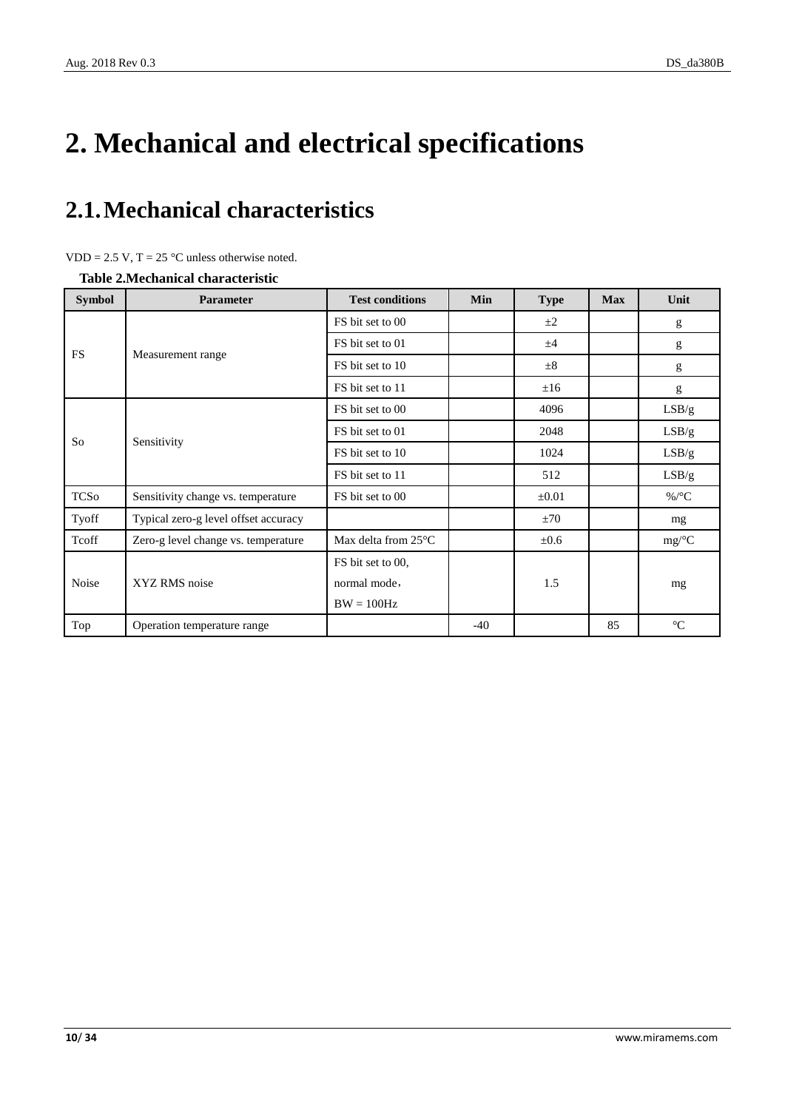# <span id="page-9-0"></span>**2. Mechanical and electrical specifications**

## <span id="page-9-1"></span>**2.1.Mechanical characteristics**

<span id="page-9-2"></span>**Table 2.Mechanical characteristic**

| <b>Symbol</b> | <b>Parameter</b>                     | <b>Test conditions</b>         | Min   | <b>Type</b> | <b>Max</b> | Unit             |
|---------------|--------------------------------------|--------------------------------|-------|-------------|------------|------------------|
|               | Measurement range                    | FS bit set to 00               |       | $\pm 2$     |            | g                |
|               |                                      | FS bit set to 01               |       | ±4          |            | g                |
| <b>FS</b>     |                                      | FS bit set to 10               |       | ±8          |            | g                |
|               |                                      | FS bit set to 11               |       | ±16         |            | g                |
|               | Sensitivity                          | FS bit set to 00               |       | 4096        |            | LSB/g            |
|               |                                      | FS bit set to 01               |       | 2048        |            | LSB/g            |
| So            |                                      | FS bit set to 10               |       | 1024        |            | LSB/g            |
|               |                                      | FS bit set to 11               |       | 512         |            | LSB/g            |
| <b>TCSo</b>   | Sensitivity change vs. temperature   | FS bit set to 00               |       | $\pm 0.01$  |            | %/ $\mathcal{C}$ |
| Tyoff         | Typical zero-g level offset accuracy |                                |       | ±70         |            | mg               |
| Tcoff         | Zero-g level change vs. temperature  | Max delta from 25 $\mathbb{C}$ |       | $\pm 0.6$   |            | mg/C             |
| Noise         | XYZ RMS noise                        | FS bit set to 00,              |       |             |            |                  |
|               |                                      | normal mode,                   |       | 1.5         |            | mg               |
|               |                                      | $BW = 100 Hz$                  |       |             |            |                  |
| Top           | Operation temperature range          |                                | $-40$ |             | 85         | $\mathfrak{C}$   |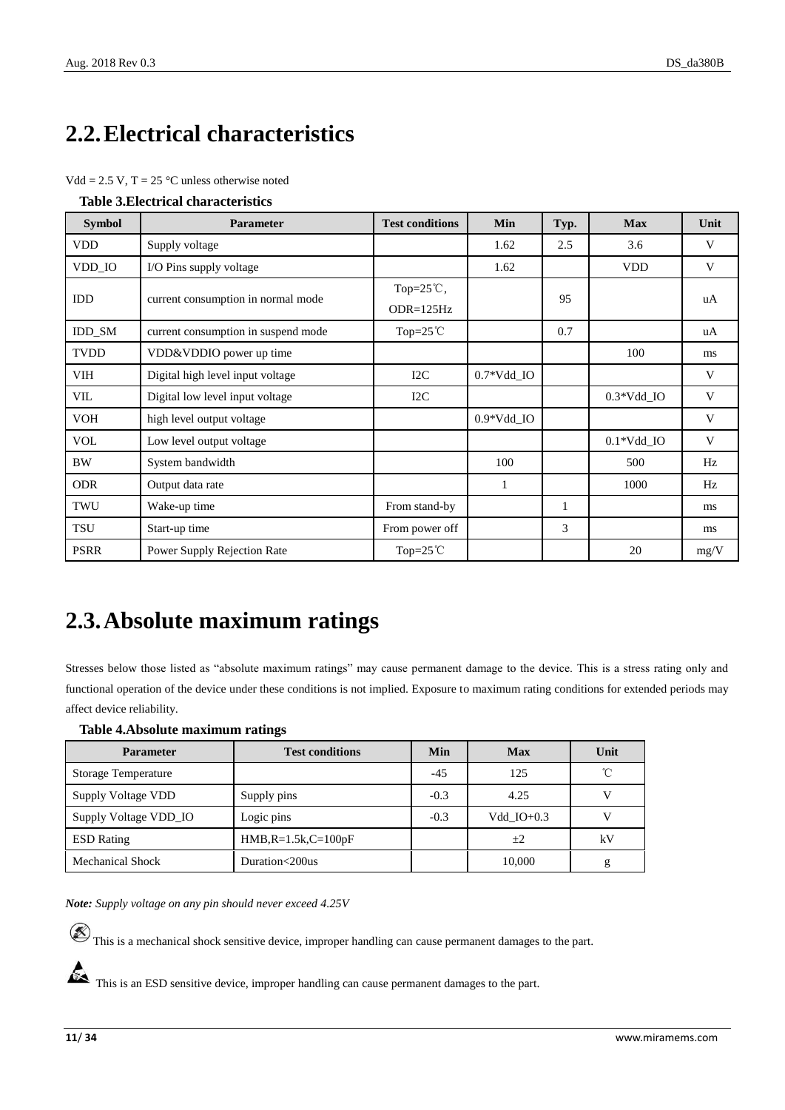## <span id="page-10-0"></span>**2.2.Electrical characteristics**

|  | $Vdd = 2.5 V$ , T = 25 °C unless otherwise noted |
|--|--------------------------------------------------|
|  |                                                  |

<span id="page-10-2"></span>

| <b>Table 3. Electrical characteristics</b> |  |
|--------------------------------------------|--|
|--------------------------------------------|--|

| <b>Symbol</b> | <b>Parameter</b>                    | <b>Test conditions</b>              | Min                     | Typ. | <b>Max</b>               | Unit |
|---------------|-------------------------------------|-------------------------------------|-------------------------|------|--------------------------|------|
| <b>VDD</b>    | Supply voltage                      |                                     | 1.62                    | 2.5  | 3.6                      | V    |
| VDD_IO        | I/O Pins supply voltage             |                                     | 1.62                    |      | <b>VDD</b>               | V    |
| <b>IDD</b>    | current consumption in normal mode  | Top= $25^{\circ}$ C,<br>$ODR=125Hz$ |                         | 95   |                          | uA   |
| IDD_SM        | current consumption in suspend mode | Top= $25^{\circ}$ C                 |                         | 0.7  |                          | uA   |
| <b>TVDD</b>   | VDD&VDDIO power up time             |                                     |                         |      | 100                      | ms   |
| VIH           | Digital high level input voltage    | I2C                                 | $0.7*Vdd$ <sub>IO</sub> |      |                          | V    |
| VIL           | Digital low level input voltage     | I2C                                 |                         |      | $0.3*Vdd$ IO             | V    |
| <b>VOH</b>    | high level output voltage           |                                     | $0.9*Vdd$ IO            |      |                          | V    |
| <b>VOL</b>    | Low level output voltage            |                                     |                         |      | $0.1*Vdd$ <sub>-IO</sub> | V    |
| <b>BW</b>     | System bandwidth                    |                                     | 100                     |      | 500                      | Hz   |
| <b>ODR</b>    | Output data rate                    |                                     | $\mathbf{1}$            |      | 1000                     | Hz   |
| TWU           | Wake-up time                        | From stand-by                       |                         | 1    |                          | ms   |
| <b>TSU</b>    | Start-up time                       | From power off                      |                         | 3    |                          | ms   |
| <b>PSRR</b>   | Power Supply Rejection Rate         | Top= $25^{\circ}$ C                 |                         |      | 20                       | mg/V |

## <span id="page-10-1"></span>**2.3.Absolute maximum ratings**

Stresses below those listed as "absolute maximum ratings" may cause permanent damage to the device. This is a stress rating only and functional operation of the device under these conditions is not implied. Exposure to maximum rating conditions for extended periods may affect device reliability.

#### <span id="page-10-3"></span>**Table 4.Absolute maximum ratings**

| <b>Parameter</b>        | <b>Test conditions</b> | Min    | <b>Max</b>   | Unit |
|-------------------------|------------------------|--------|--------------|------|
| Storage Temperature     |                        | $-45$  | 125          | °C   |
| Supply Voltage VDD      | Supply pins            | $-0.3$ | 4.25         |      |
| Supply Voltage VDD_IO   | Logic pins             | $-0.3$ | Vdd $IO+0.3$ |      |
| <b>ESD</b> Rating       | $HMB, R=1.5k, C=100pF$ |        | $+2$         | kV   |
| <b>Mechanical Shock</b> | Duration<200us         |        | 10,000       | g    |

*Note: Supply voltage on any pin should never exceed 4.25V*

 $\circledast$  This is a mechanical shock sensitive device, improper handling can cause permanent damages to the part.

This is an ESD sensitive device, improper handling can cause permanent damages to the part.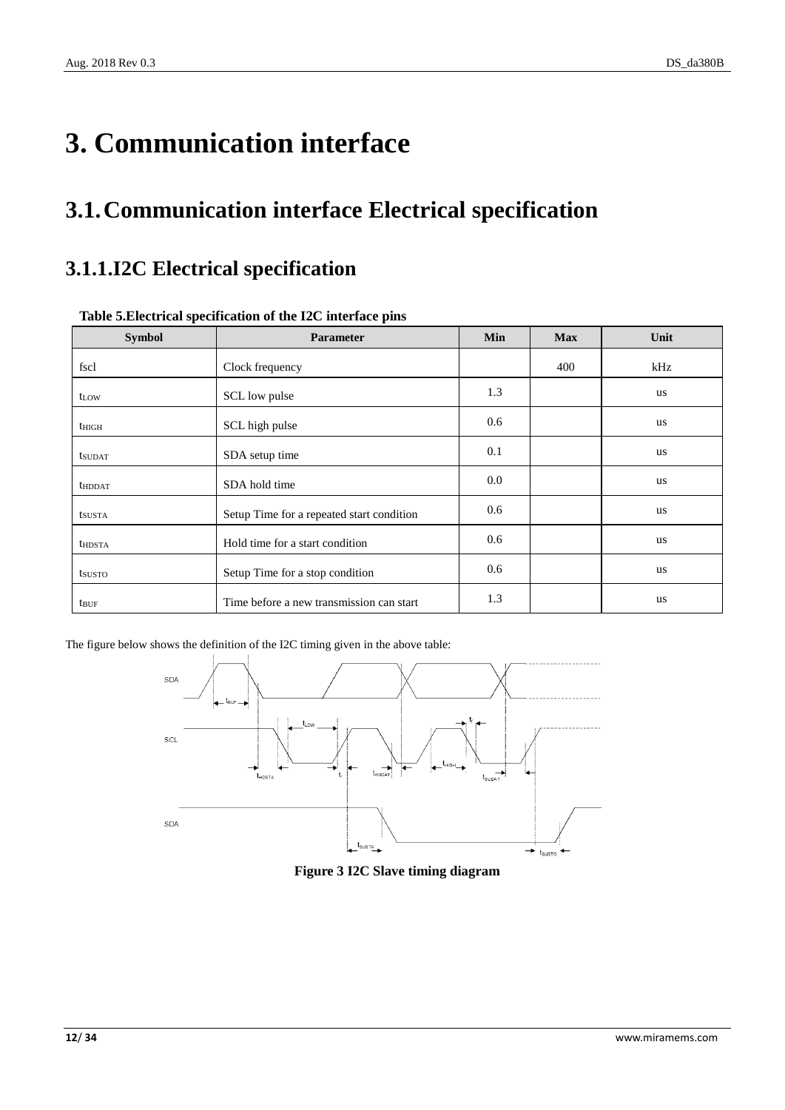# <span id="page-11-0"></span>**3. Communication interface**

## <span id="page-11-1"></span>**3.1.Communication interface Electrical specification**

### <span id="page-11-2"></span>**3.1.1.I2C Electrical specification**

| <b>Symbol</b>           | Parameter                                 | Min | <b>Max</b> | Unit      |
|-------------------------|-------------------------------------------|-----|------------|-----------|
| fscl                    | Clock frequency                           |     | 400        | kHz       |
| t <sub>LOW</sub>        | SCL low pulse                             | 1.3 |            | us        |
| $t_{\rm HIGH}$          | SCL high pulse                            | 0.6 |            | us        |
| <b>t</b> sudat          | SDA setup time                            | 0.1 |            | us        |
| <b>thDDAT</b>           | SDA hold time                             | 0.0 |            | us        |
| tsusta                  | Setup Time for a repeated start condition | 0.6 |            | <b>us</b> |
| <b>thdsTA</b>           | Hold time for a start condition           | 0.6 |            | <b>us</b> |
| tsusto                  | Setup Time for a stop condition           | 0.6 |            | <b>us</b> |
| <b>t</b> <sub>BUF</sub> | Time before a new transmission can start  | 1.3 |            | us        |

#### <span id="page-11-3"></span>**Table 5.Electrical specification of the I2C interface pins**

<span id="page-11-4"></span>The figure below shows the definition of the I2C timing given in the above table:



**Figure 3 I2C Slave timing diagram**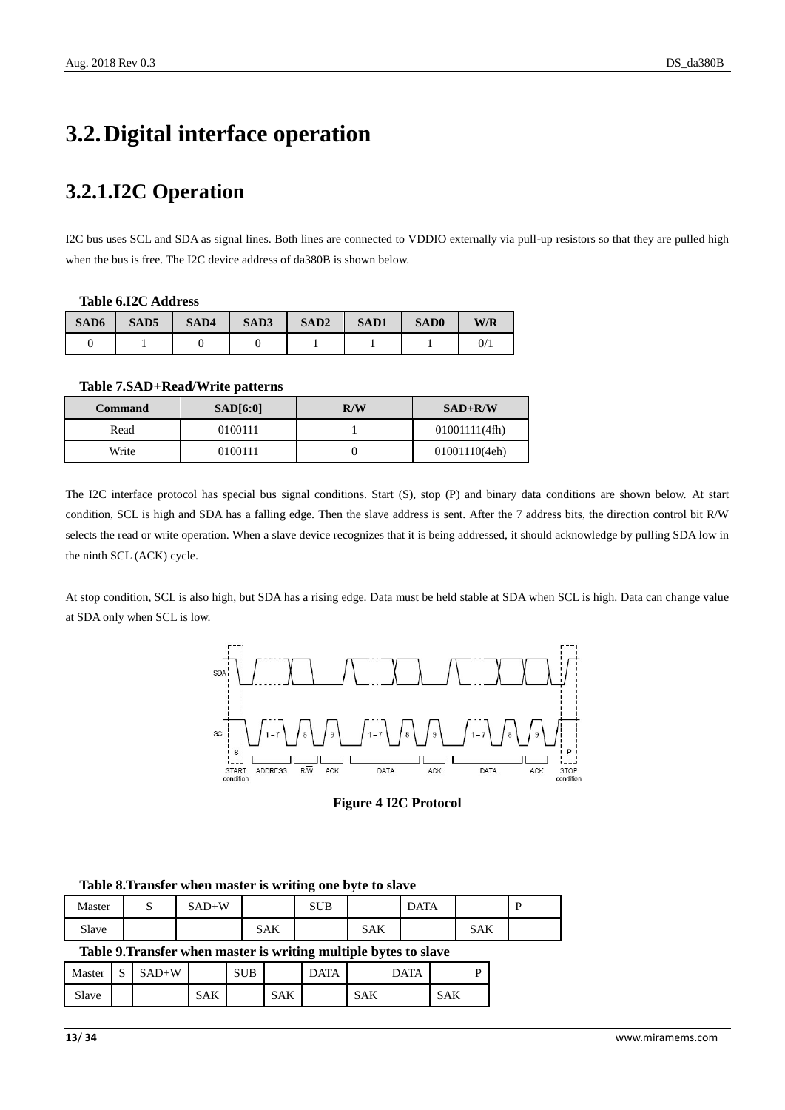## <span id="page-12-0"></span>**3.2.Digital interface operation**

### <span id="page-12-1"></span>**3.2.1.I2C Operation**

I2C bus uses SCL and SDA as signal lines. Both lines are connected to VDDIO externally via pull-up resistors so that they are pulled high when the bus is free. The I2C device address of da380B is shown below.

#### <span id="page-12-2"></span>**Table 6.I2C Address**

| SAD6 | SAD <sub>5</sub> | SAD4 | SAD3 | SAD <sub>2</sub> | SAD1 | <b>SAD0</b> | W/R |
|------|------------------|------|------|------------------|------|-------------|-----|
|      |                  |      |      |                  |      |             | 0/  |

<span id="page-12-3"></span>**Table 7.SAD+Read/Write patterns**

| <b>Command</b> | SAD[6:0] | R/W | $SAD+R/W$     |
|----------------|----------|-----|---------------|
| Read           | 0100111  |     | 01001111(4fh) |
| Write          | 0100111  |     | 01001110(4eh) |

The I2C interface protocol has special bus signal conditions. Start (S), stop (P) and binary data conditions are shown below. At start condition, SCL is high and SDA has a falling edge. Then the slave address is sent. After the 7 address bits, the direction control bit R/W selects the read or write operation. When a slave device recognizes that it is being addressed, it should acknowledge by pulling SDA low in the ninth SCL (ACK) cycle.

At stop condition, SCL is also high, but SDA has a rising edge. Data must be held stable at SDA when SCL is high. Data can change value at SDA only when SCL is low.



**Figure 4 I2C Protocol**

<span id="page-12-4"></span>

|        | Table of Fransfer when master is writing one byte to slave |         |     |            |     |             |     |  |  |
|--------|------------------------------------------------------------|---------|-----|------------|-----|-------------|-----|--|--|
| Master |                                                            | $SAD+W$ |     | <b>SUB</b> |     | <b>DATA</b> |     |  |  |
| Slave  |                                                            |         | SAK |            | SAK |             | SAK |  |  |
|        |                                                            |         |     |            |     |             |     |  |  |

<span id="page-12-6"></span>**Table 8.Transfer when master is writing one byte to slave**

#### <span id="page-12-5"></span>**Table 9.Transfer when master is writing multiple bytes to slave**

| Master | $\sim$<br>د، | $SAD+W$ |            | <b>SUB</b> |            | <b>DATA</b> |            | <b>DATA</b> |            | D |
|--------|--------------|---------|------------|------------|------------|-------------|------------|-------------|------------|---|
| Slave  |              |         | <b>SAK</b> |            | <b>SAK</b> |             | <b>SAK</b> |             | <b>SAK</b> |   |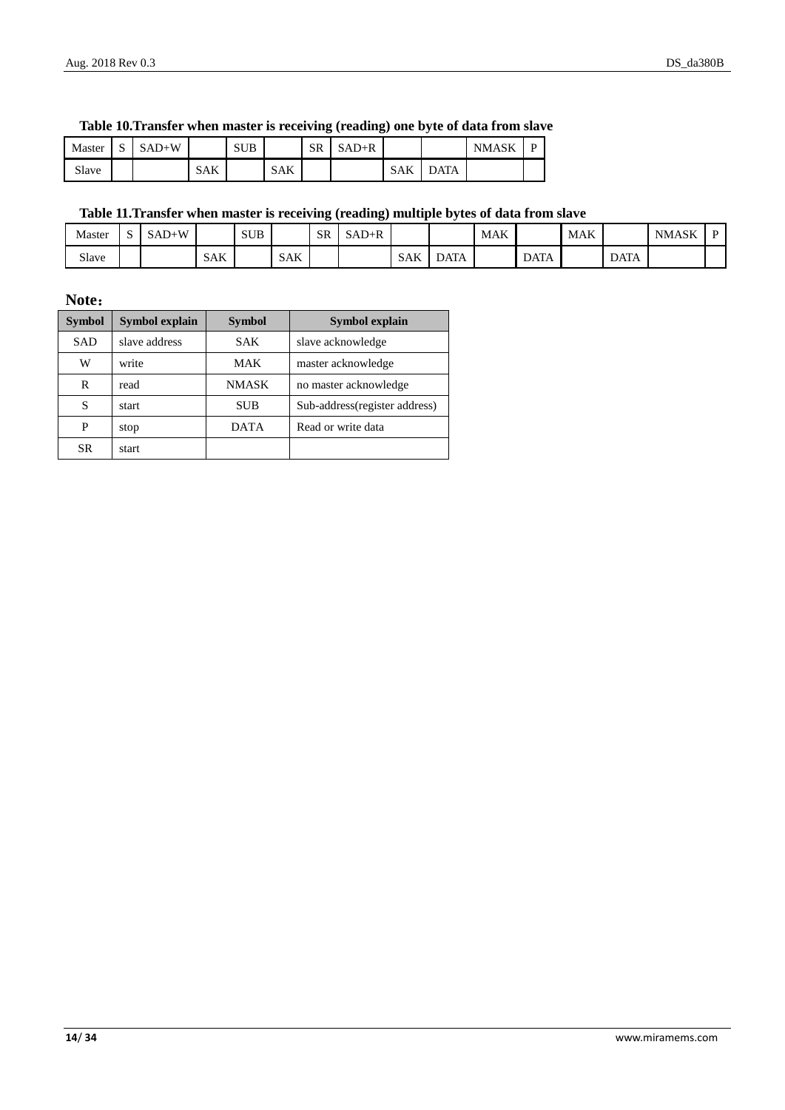|        |             |         |            |            |            |           | $\sim$<br>$\cdot$ |     |      |              |  |
|--------|-------------|---------|------------|------------|------------|-----------|-------------------|-----|------|--------------|--|
| Master | $\sim$<br>ມ | $SAD+W$ |            | <b>SUB</b> |            | <b>SR</b> | $SAD+R$           |     |      | <b>NMASK</b> |  |
| Slave  |             |         | <b>SAK</b> |            | <b>SAK</b> |           |                   | SAK | DATA |              |  |

#### <span id="page-13-0"></span>**Table 10.Transfer when master is receiving (reading) one byte of data from slave**

#### <span id="page-13-1"></span>**Table 11.Transfer when master is receiving (reading) multiple bytes of data from slave**

| Master | ື | $SAD+W$ |            | <b>SUB</b> |            | <b>SR</b> | $SAD+R$ |     |      | <b>MAK</b> |             | <b>MAK</b> |             | <b>NMASK</b> | r |
|--------|---|---------|------------|------------|------------|-----------|---------|-----|------|------------|-------------|------------|-------------|--------------|---|
| Slave  |   |         | <b>SAK</b> |            | <b>SAK</b> |           |         | SAK | DATA |            | <b>DATA</b> |            | <b>DATA</b> |              |   |

**Note**:

| <b>Symbol</b> | <b>Symbol explain</b> | <b>Symbol</b> | Symbol explain                |
|---------------|-----------------------|---------------|-------------------------------|
| <b>SAD</b>    | slave address         | <b>SAK</b>    | slave acknowledge             |
| W             | write                 | MAK           | master acknowledge            |
| R             | read                  | <b>NMASK</b>  | no master acknowledge         |
| S             | start                 | <b>SUB</b>    | Sub-address(register address) |
| P             | stop                  | <b>DATA</b>   | Read or write data            |
| SR            | start                 |               |                               |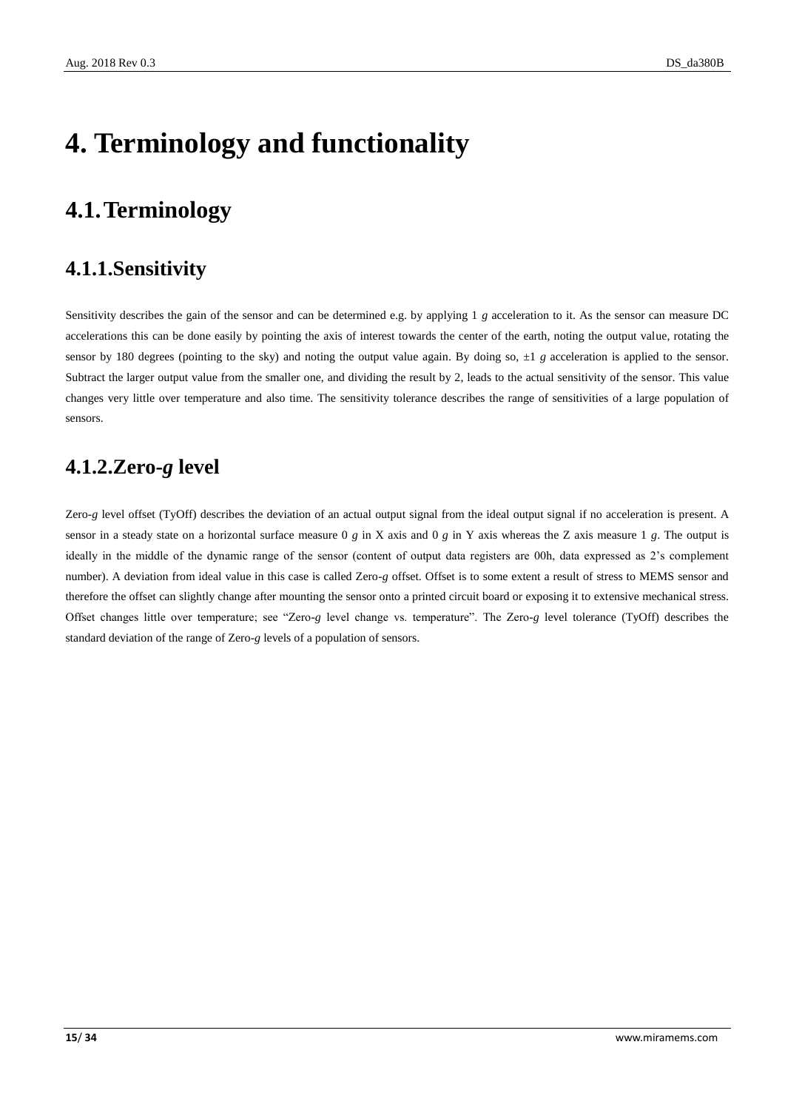# <span id="page-14-0"></span>**4. Terminology and functionality**

### <span id="page-14-1"></span>**4.1.Terminology**

### <span id="page-14-2"></span>**4.1.1.Sensitivity**

Sensitivity describes the gain of the sensor and can be determined e.g. by applying 1 *g* acceleration to it. As the sensor can measure DC accelerations this can be done easily by pointing the axis of interest towards the center of the earth, noting the output value, rotating the sensor by 180 degrees (pointing to the sky) and noting the output value again. By doing so,  $\pm 1$  *g* acceleration is applied to the sensor. Subtract the larger output value from the smaller one, and dividing the result by 2, leads to the actual sensitivity of the sensor. This value changes very little over temperature and also time. The sensitivity tolerance describes the range of sensitivities of a large population of sensors.

### <span id="page-14-3"></span>**4.1.2.Zero-***g* **level**

Zero-*g* level offset (TyOff) describes the deviation of an actual output signal from the ideal output signal if no acceleration is present. A sensor in a steady state on a horizontal surface measure 0 *g* in X axis and 0 *g* in Y axis whereas the Z axis measure 1 *g*. The output is ideally in the middle of the dynamic range of the sensor (content of output data registers are 00h, data expressed as 2's complement number). A deviation from ideal value in this case is called Zero-*g* offset. Offset is to some extent a result of stress to MEMS sensor and therefore the offset can slightly change after mounting the sensor onto a printed circuit board or exposing it to extensive mechanical stress. Offset changes little over temperature; see "Zero-*g* level change vs. temperature". The Zero-*g* level tolerance (TyOff) describes the standard deviation of the range of Zero-*g* levels of a population of sensors.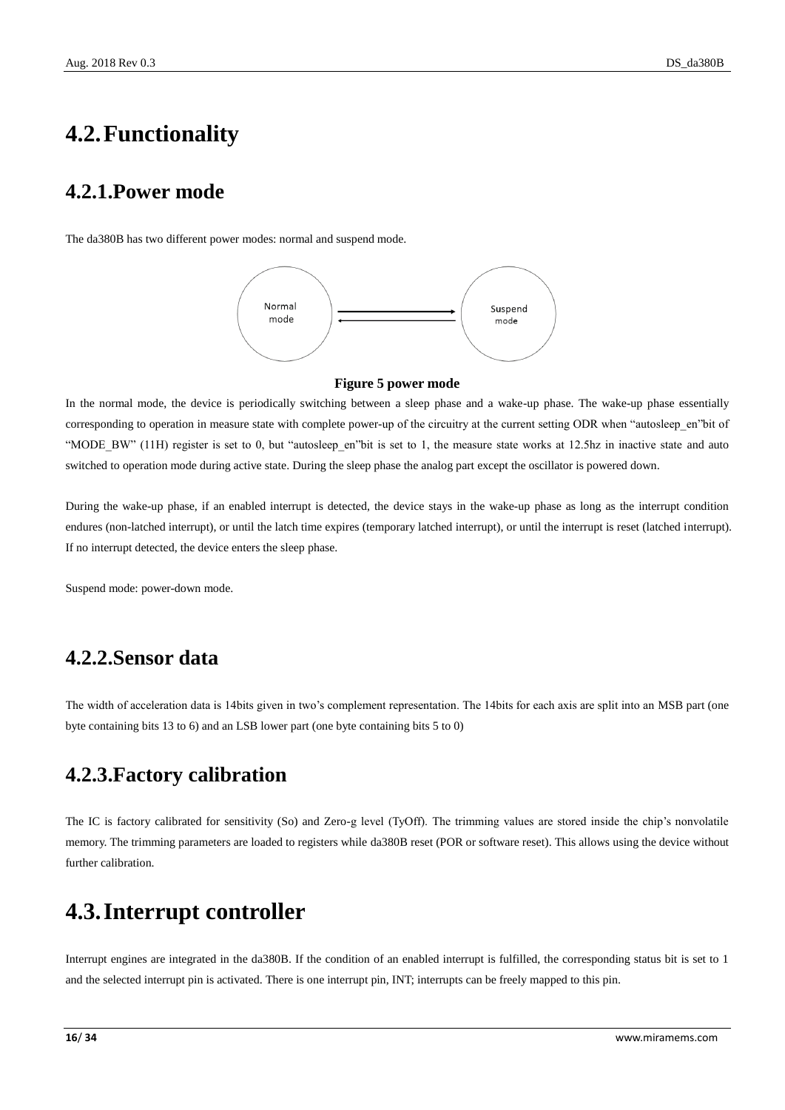### <span id="page-15-0"></span>**4.2.Functionality**

### <span id="page-15-1"></span>**4.2.1.Power mode**

The da380B has two different power modes: normal and suspend mode.



#### **Figure 5 power mode**

<span id="page-15-5"></span>In the normal mode, the device is periodically switching between a sleep phase and a wake-up phase. The wake-up phase essentially corresponding to operation in measure state with complete power-up of the circuitry at the current setting ODR when "autosleep\_en"bit of "MODE\_BW" (11H) register is set to 0, but "autosleep\_en"bit is set to 1, the measure state works at 12.5hz in inactive state and auto switched to operation mode during active state. During the sleep phase the analog part except the oscillator is powered down.

During the wake-up phase, if an enabled interrupt is detected, the device stays in the wake-up phase as long as the interrupt condition endures (non-latched interrupt), or until the latch time expires (temporary latched interrupt), or until the interrupt is reset (latched interrupt). If no interrupt detected, the device enters the sleep phase.

Suspend mode: power-down mode.

### <span id="page-15-2"></span>**4.2.2.Sensor data**

The width of acceleration data is 14bits given in two's complement representation. The 14bits for each axis are split into an MSB part (one byte containing bits 13 to 6) and an LSB lower part (one byte containing bits 5 to 0)

### <span id="page-15-3"></span>**4.2.3.Factory calibration**

The IC is factory calibrated for sensitivity (So) and Zero-g level (TyOff). The trimming values are stored inside the chip's nonvolatile memory. The trimming parameters are loaded to registers while da380B reset (POR or software reset). This allows using the device without further calibration.

### <span id="page-15-4"></span>**4.3.Interrupt controller**

Interrupt engines are integrated in the da380B. If the condition of an enabled interrupt is fulfilled, the corresponding status bit is set to 1 and the selected interrupt pin is activated. There is one interrupt pin, INT; interrupts can be freely mapped to this pin.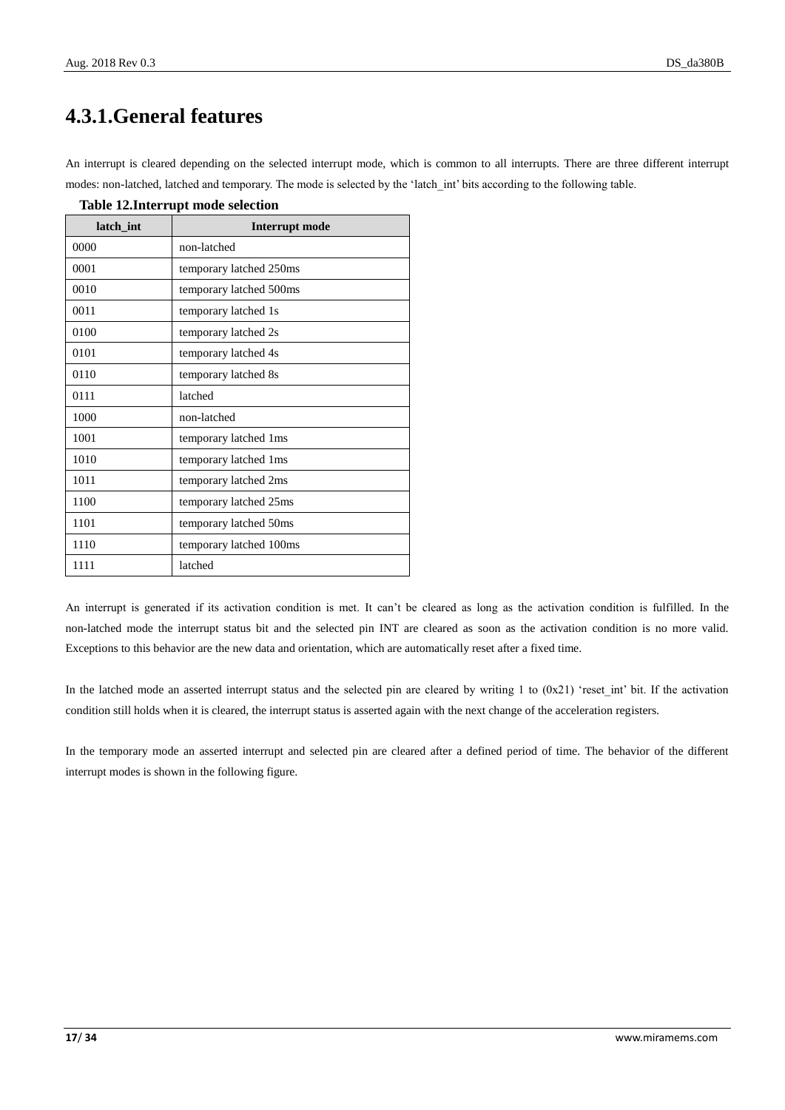### <span id="page-16-0"></span>**4.3.1.General features**

An interrupt is cleared depending on the selected interrupt mode, which is common to all interrupts. There are three different interrupt modes: non-latched, latched and temporary. The mode is selected by the 'latch\_int' bits according to the following table.

| latch int | <b>Interrupt mode</b>   |
|-----------|-------------------------|
| 0000      | non-latched             |
| 0001      | temporary latched 250ms |
| 0010      | temporary latched 500ms |
| 0011      | temporary latched 1s    |
| 0100      | temporary latched 2s    |
| 0101      | temporary latched 4s    |
| 0110      | temporary latched 8s    |
| 0111      | latched                 |
| 1000      | non-latched             |
| 1001      | temporary latched 1ms   |
| 1010      | temporary latched 1ms   |
| 1011      | temporary latched 2ms   |
| 1100      | temporary latched 25ms  |
| 1101      | temporary latched 50ms  |
| 1110      | temporary latched 100ms |
| 1111      | latched                 |

<span id="page-16-1"></span>**Table 12.Interrupt mode selection**

An interrupt is generated if its activation condition is met. It can't be cleared as long as the activation condition is fulfilled. In the non-latched mode the interrupt status bit and the selected pin INT are cleared as soon as the activation condition is no more valid. Exceptions to this behavior are the new data and orientation, which are automatically reset after a fixed time.

In the latched mode an asserted interrupt status and the selected pin are cleared by writing 1 to (0x21) 'reset\_int' bit. If the activation condition still holds when it is cleared, the interrupt status is asserted again with the next change of the acceleration registers.

In the temporary mode an asserted interrupt and selected pin are cleared after a defined period of time. The behavior of the different interrupt modes is shown in the following figure.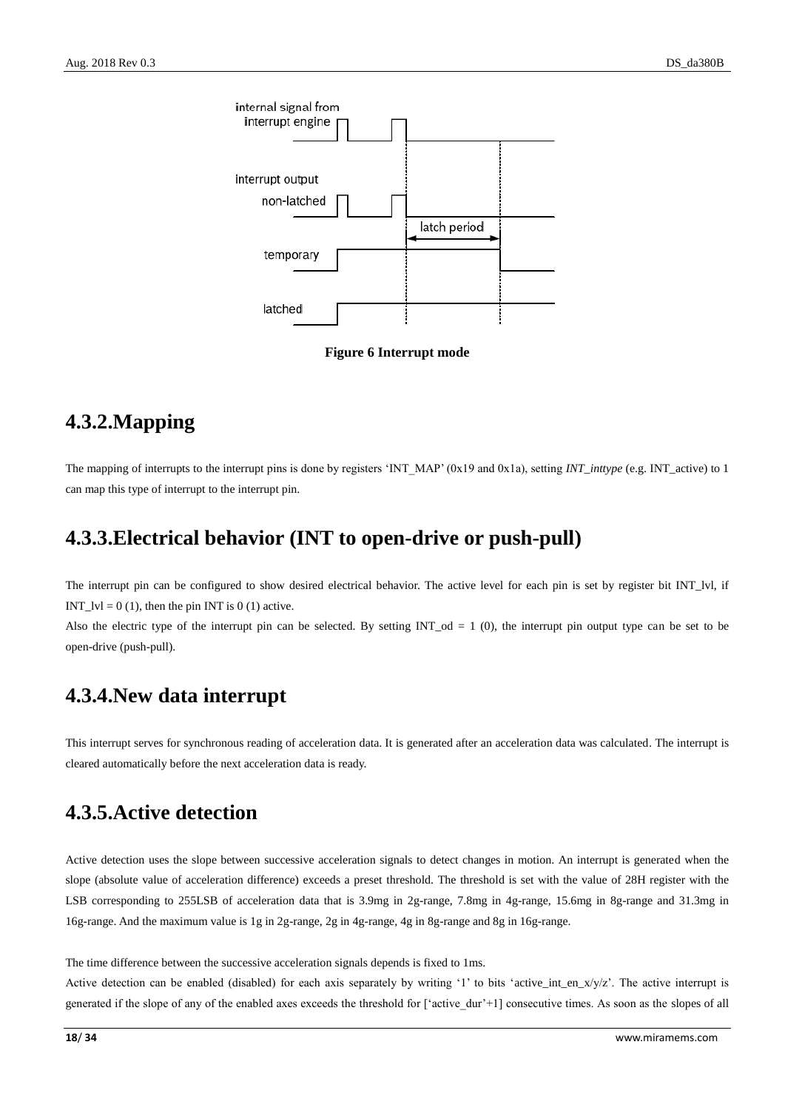



### <span id="page-17-4"></span><span id="page-17-0"></span>**4.3.2.Mapping**

The mapping of interrupts to the interrupt pins is done by registers 'INT\_MAP' (0x19 and 0x1a), setting *INT\_inttype* (e.g. INT\_active) to 1 can map this type of interrupt to the interrupt pin.

### <span id="page-17-1"></span>**4.3.3.Electrical behavior (INT to open-drive or push-pull)**

The interrupt pin can be configured to show desired electrical behavior. The active level for each pin is set by register bit INT\_lvl, if INT\_lvl =  $0(1)$ , then the pin INT is  $0(1)$  active.

Also the electric type of the interrupt pin can be selected. By setting  $INT\_od = 1$  (0), the interrupt pin output type can be set to be open-drive (push-pull).

### <span id="page-17-2"></span>**4.3.4.New data interrupt**

This interrupt serves for synchronous reading of acceleration data. It is generated after an acceleration data was calculated. The interrupt is cleared automatically before the next acceleration data is ready.

### <span id="page-17-3"></span>**4.3.5.Active detection**

Active detection uses the slope between successive acceleration signals to detect changes in motion. An interrupt is generated when the slope (absolute value of acceleration difference) exceeds a preset threshold. The threshold is set with the value of 28H register with the LSB corresponding to 255LSB of acceleration data that is 3.9mg in 2g-range, 7.8mg in 4g-range, 15.6mg in 8g-range and 31.3mg in 16g-range. And the maximum value is 1g in 2g-range, 2g in 4g-range, 4g in 8g-range and 8g in 16g-range.

The time difference between the successive acceleration signals depends is fixed to 1ms.

Active detection can be enabled (disabled) for each axis separately by writing '1' to bits 'active\_int\_en\_x/y/z'. The active interrupt is generated if the slope of any of the enabled axes exceeds the threshold for ['active\_dur'+1] consecutive times. As soon as the slopes of all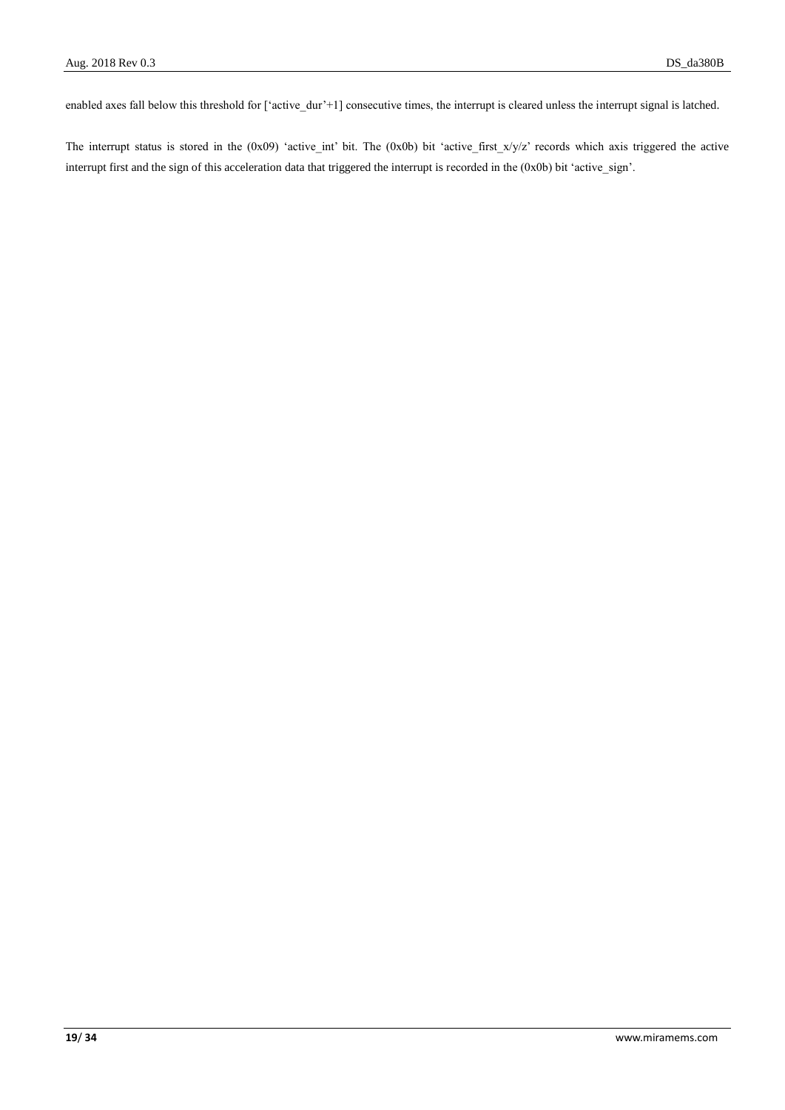enabled axes fall below this threshold for ['active\_dur'+1] consecutive times, the interrupt is cleared unless the interrupt signal is latched.

The interrupt status is stored in the (0x09) 'active\_int' bit. The (0x0b) bit 'active\_first\_x/y/z' records which axis triggered the active interrupt first and the sign of this acceleration data that triggered the interrupt is recorded in the (0x0b) bit 'active\_sign'.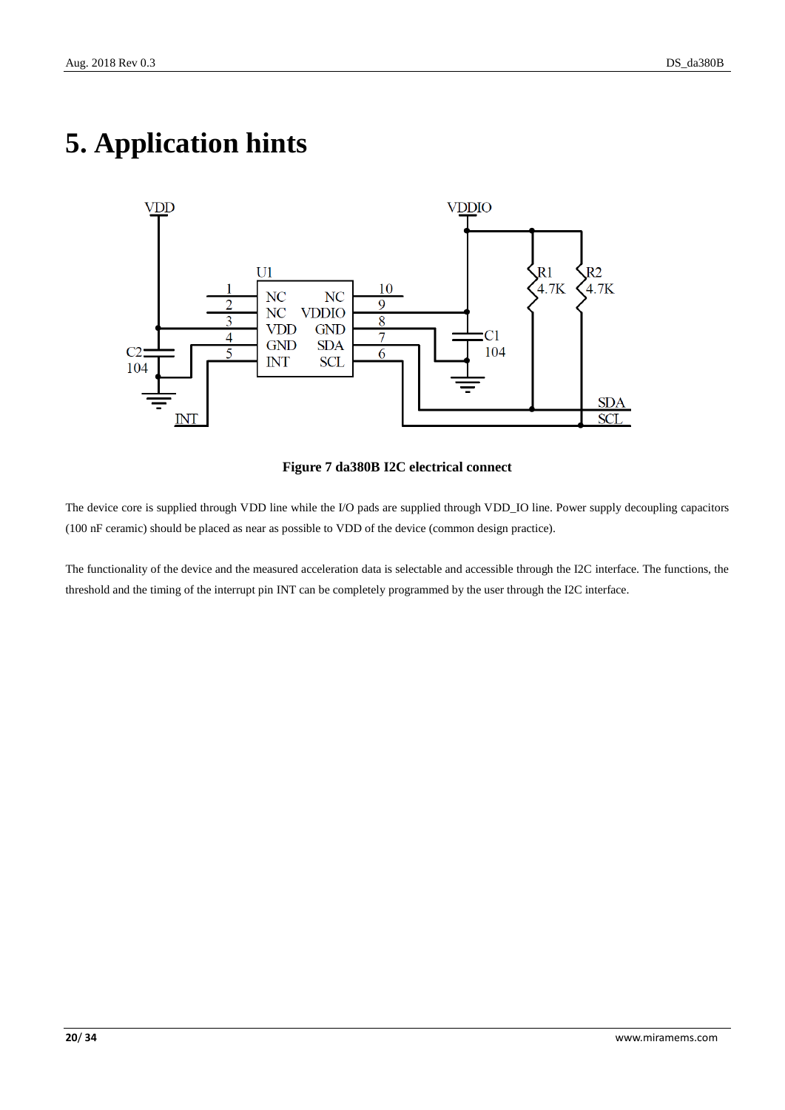

# <span id="page-19-0"></span>**5. Application hints**

#### **Figure 7 da380B I2C electrical connect**

<span id="page-19-1"></span>The device core is supplied through VDD line while the I/O pads are supplied through VDD\_IO line. Power supply decoupling capacitors (100 nF ceramic) should be placed as near as possible to VDD of the device (common design practice).

The functionality of the device and the measured acceleration data is selectable and accessible through the I2C interface. The functions, the threshold and the timing of the interrupt pin INT can be completely programmed by the user through the I2C interface.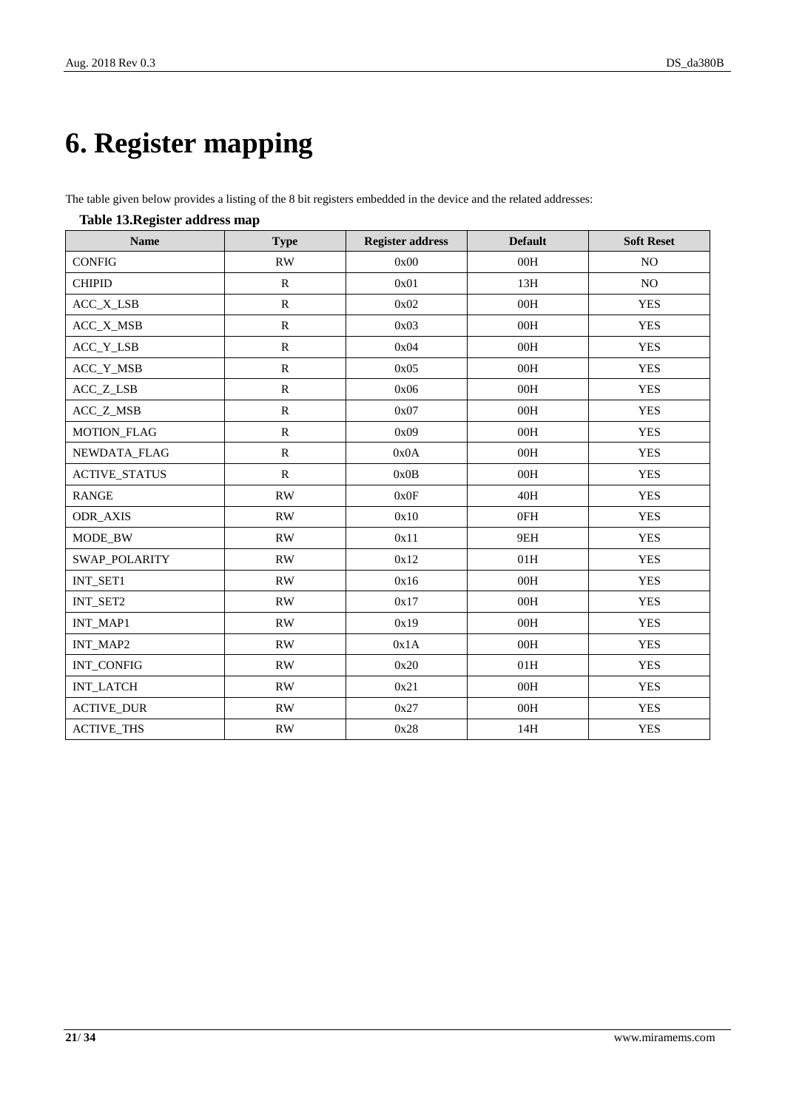# <span id="page-20-0"></span>**6. Register mapping**

The table given below provides a listing of the 8 bit registers embedded in the device and the related addresses:

<span id="page-20-1"></span>

| Table To.Kegistel auuress map<br><b>Name</b> | <b>Type</b>            | <b>Register address</b> | <b>Default</b> | <b>Soft Reset</b> |
|----------------------------------------------|------------------------|-------------------------|----------------|-------------------|
| <b>CONFIG</b>                                | $\mathbf{R}\mathbf{W}$ | 0x00                    | $00H$          | NO                |
| <b>CHIPID</b>                                | ${\bf R}$              | 0x01                    | 13H            | $\rm NO$          |
| ACC_X_LSB                                    | ${\bf R}$              | 0x02                    | 00H            | <b>YES</b>        |
| ACC_X_MSB                                    | $\mathbb{R}$           | 0x03                    | 00H            | <b>YES</b>        |
| ACC_Y_LSB                                    | ${\bf R}$              | 0x04                    | 00H            | <b>YES</b>        |
| ACC_Y_MSB                                    | ${\bf R}$              | 0x05                    | 00H            | <b>YES</b>        |
| ACC_Z_LSB                                    | $\mathbb{R}$           | 0x06                    | 00H            | <b>YES</b>        |
| ACC_Z_MSB                                    | $\mathbb{R}$           | 0x07                    | 00H            | <b>YES</b>        |
| <b>MOTION_FLAG</b>                           | ${\bf R}$              | 0x09                    | 00H            | <b>YES</b>        |
| NEWDATA_FLAG                                 | ${\bf R}$              | 0x0A                    | 00H            | <b>YES</b>        |
| <b>ACTIVE_STATUS</b>                         | ${\bf R}$              | 0x0B                    | 00H            | <b>YES</b>        |
| <b>RANGE</b>                                 | RW                     | 0x0F                    | 40H            | <b>YES</b>        |
| <b>ODR_AXIS</b>                              | <b>RW</b>              | 0x10                    | 0FH            | <b>YES</b>        |
| MODE_BW                                      | RW                     | 0x11                    | 9EH            | <b>YES</b>        |
| SWAP_POLARITY                                | <b>RW</b>              | 0x12                    | 01H            | <b>YES</b>        |
| INT_SET1                                     | RW                     | 0x16                    | 00H            | <b>YES</b>        |
| INT_SET2                                     | RW                     | 0x17                    | 00H            | <b>YES</b>        |
| INT_MAP1                                     | $\mathbf{RW}$          | 0x19                    | 00H            | <b>YES</b>        |
| INT_MAP2                                     | RW                     | 0x1A                    | 00H            | <b>YES</b>        |
| INT_CONFIG                                   | RW                     | 0x20                    | 01H            | <b>YES</b>        |
| <b>INT_LATCH</b>                             | RW                     | 0x21                    | 00H            | <b>YES</b>        |
| <b>ACTIVE_DUR</b>                            | $\mathbf{RW}$          | 0x27                    | $00H$          | <b>YES</b>        |
| <b>ACTIVE_THS</b>                            | RW                     | 0x28                    | 14H            | <b>YES</b>        |

#### **Table 13.Register address map**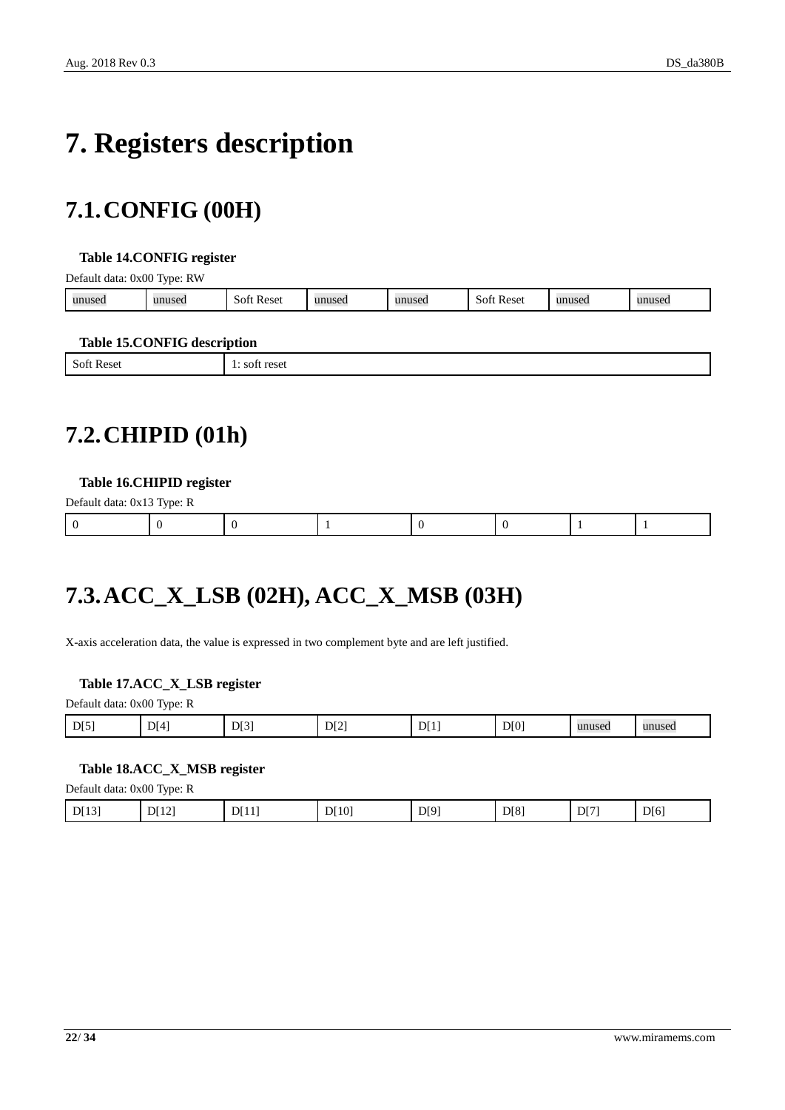# <span id="page-21-0"></span>**7. Registers description**

## <span id="page-21-1"></span>**7.1.CONFIG (00H)**

#### <span id="page-21-4"></span>**Table 14.CONFIG register**

Default data: 0x00 Type: RW

| unused | 1111100c<br>usec | Reset<br>-SOF | $\mathbf{u}\mathbf{n}\mathbf{u}\mathbf{c}\mathbf{a}$<br>пизеп | unused | Reset<br>SOT | nusec |  |
|--------|------------------|---------------|---------------------------------------------------------------|--------|--------------|-------|--|
|        |                  |               |                                                               |        |              |       |  |

#### <span id="page-21-5"></span>**Table 15.CONFIG description**

|                                                   | -                                                |
|---------------------------------------------------|--------------------------------------------------|
| $\mathbf{C}$<br>Soft<br>* Rese.<br>້<br>--------- | 0.001<br><b>102</b><br><b>LESEL</b><br>--------- |
|                                                   |                                                  |

### <span id="page-21-2"></span>**7.2.CHIPID (01h)**

#### <span id="page-21-6"></span>**Table 16.CHIPID register**

| Default data: 0x13 Type: R |  |  |  |  |  |  |  |
|----------------------------|--|--|--|--|--|--|--|
|                            |  |  |  |  |  |  |  |

## <span id="page-21-3"></span>**7.3.ACC\_X\_LSB (02H), ACC\_X\_MSB (03H)**

X-axis acceleration data, the value is expressed in two complement byte and are left justified.

#### <span id="page-21-7"></span>**Table 17.ACC\_X\_LSB register**

| Default data: 0x00 Type: R |  |  |
|----------------------------|--|--|
|                            |  |  |

| D[0]<br>DI5<br>DI2<br>D[3]<br>$\mathbf{r}$<br><b>SE 43</b><br>DI4<br>DI<br>unused<br>11131<br>unused<br>. . |
|-------------------------------------------------------------------------------------------------------------|
|-------------------------------------------------------------------------------------------------------------|

#### <span id="page-21-8"></span>**Table 18.ACC\_X\_MSB register**

Default data: 0x00 Type: R

| D[8]<br>D[12]<br>DI9'<br>D[6]<br>DI71<br>DI131<br>[10]<br>DT11<br>$\sqrt{ }$<br>1 J J<br>◡<br>.<br>- |
|------------------------------------------------------------------------------------------------------|
|------------------------------------------------------------------------------------------------------|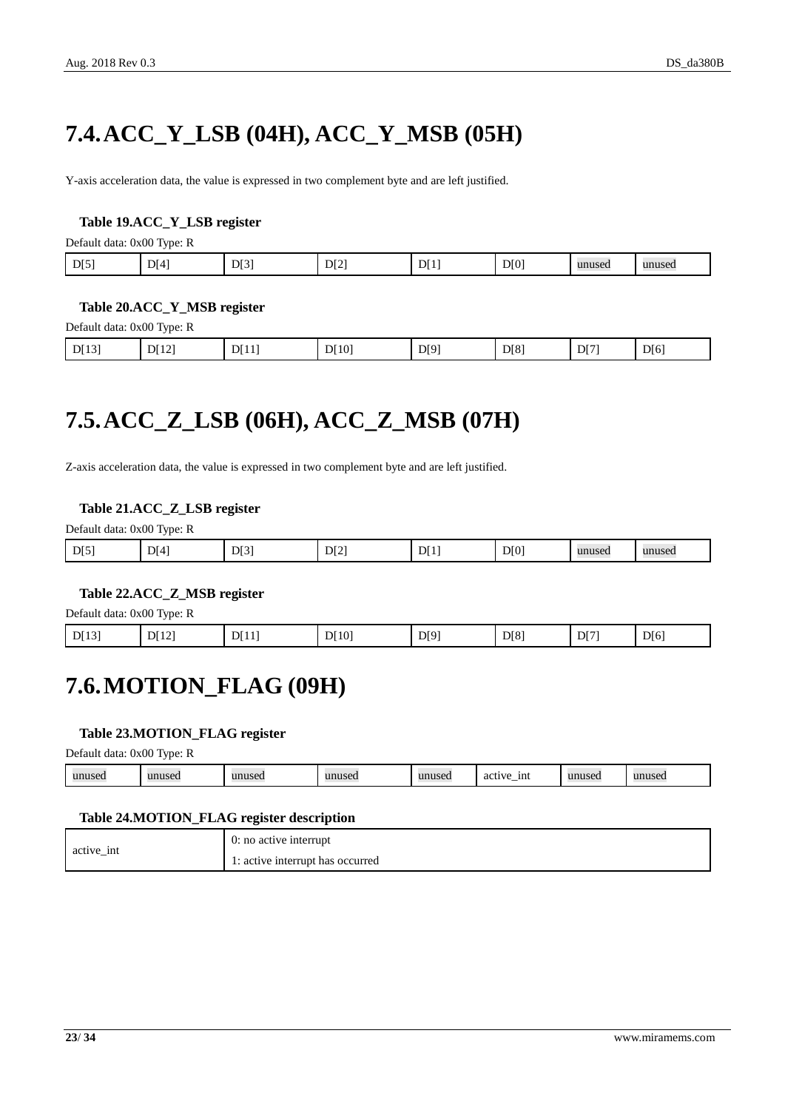## <span id="page-22-0"></span>**7.4.ACC\_Y\_LSB (04H), ACC\_Y\_MSB (05H)**

Y-axis acceleration data, the value is expressed in two complement byte and are left justified.

#### <span id="page-22-3"></span>**Table 19.ACC\_Y\_LSB register**

Default data: 0x00 Type: R

| D[0]<br>D[3]<br>D[4]<br>DI1<br>D[5]<br>D[2]<br>unused<br>unused |
|-----------------------------------------------------------------|
|-----------------------------------------------------------------|

#### <span id="page-22-4"></span>**Table 20.ACC\_Y\_MSB register**

Default data: 0x00 Type: R

| D[8]<br>D[10]<br>D[12]<br>D[6]<br>D[7]<br>D[9]<br>D[11]<br>DI[13]<br>$\sim$ |
|-----------------------------------------------------------------------------|
|-----------------------------------------------------------------------------|

## <span id="page-22-1"></span>**7.5.ACC\_Z\_LSB (06H), ACC\_Z\_MSB (07H)**

Z-axis acceleration data, the value is expressed in two complement byte and are left justified.

#### <span id="page-22-5"></span>**Table 21.ACC\_Z\_LSB register**

Default data: 0x00 Type: R

| D[5] | D[4] | D[3]<br>. . | DI2 | וט. | D[0] | unused | unused |
|------|------|-------------|-----|-----|------|--------|--------|
|      |      |             |     |     |      |        |        |

#### <span id="page-22-6"></span>**Table 22.ACC\_Z\_MSB register**

Default data: 0x00 Type: R

<span id="page-22-2"></span>

| D[13] | DI12 | DI11 | DI10 | D[9] | D[8] | DI71 | DI6' |
|-------|------|------|------|------|------|------|------|
|-------|------|------|------|------|------|------|------|

### **7.6.MOTION\_FLAG (09H)**

#### <span id="page-22-7"></span>**Table 23.MOTION\_FLAG register**

Default data: 0x00 Type: R

| 31011000<br>- 1nt<br>unused<br>unuseo<br>$\eta$ nnusc $\sim$<br>$\cdots$<br>33331004<br>$-$ act <sup>1</sup><br>uset.<br>$\sim$<br>. L<br>$\cdots$<br>$\cdots$ |
|----------------------------------------------------------------------------------------------------------------------------------------------------------------|
|----------------------------------------------------------------------------------------------------------------------------------------------------------------|

#### <span id="page-22-8"></span>**Table 24.MOTION\_FLAG register description**

| active int | $0:$ no active interrupt         |
|------------|----------------------------------|
|            | 1: active interrupt has occurred |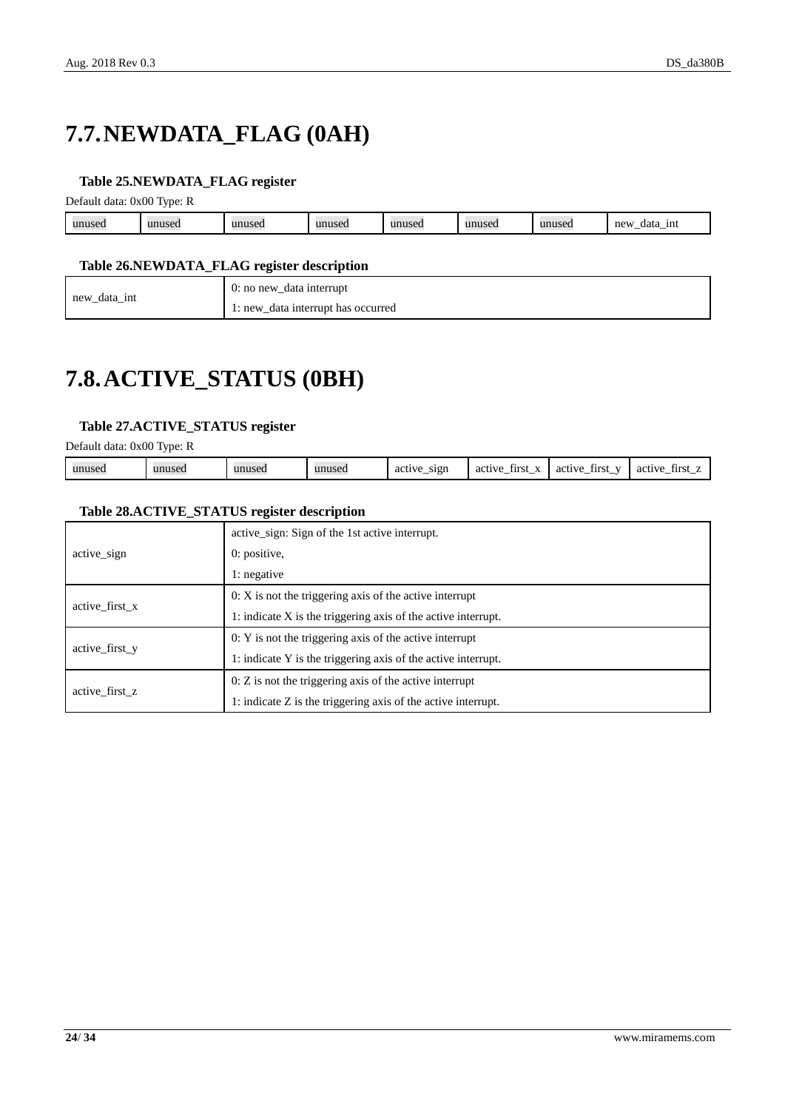## <span id="page-23-0"></span>**7.7.NEWDATA\_FLAG (0AH)**

#### <span id="page-23-2"></span>**Table 25.NEWDATA\_FLAG register**

Default data: 0x00 Type: R

| 11111826<br><u></u> usti | 11111320<br>$\sim$ | $\cdots$<br>15 U | unused | unused | unused | 11111001<br>museu | new<br>1nt<br>data<br><u>_</u><br>_ |
|--------------------------|--------------------|------------------|--------|--------|--------|-------------------|-------------------------------------|
|                          |                    |                  |        |        |        |                   |                                     |

#### <span id="page-23-3"></span>**Table 26.NEWDATA\_FLAG register description**

|              | 0: no new_data interrupt    |
|--------------|-----------------------------|
| new_data_int | data interrupt has occurred |
| —            | $\iota$ : new               |

### <span id="page-23-1"></span>**7.8.ACTIVE\_STATUS (0BH)**

#### <span id="page-23-4"></span>**Table 27.ACTIVE\_STATUS register**

Default data: 0x00 Type: R

| . . | unused | unused | unused | unusec | sign<br>active<br>acu. | $\mathbf{v}$<br>active<br>first<br>ac t<br>-__ | active<br>$ -$<br><b>first</b> | tırsı<br>active |
|-----|--------|--------|--------|--------|------------------------|------------------------------------------------|--------------------------------|-----------------|
|-----|--------|--------|--------|--------|------------------------|------------------------------------------------|--------------------------------|-----------------|

#### <span id="page-23-5"></span>**Table 28.ACTIVE\_STATUS register description**

|                | active sign: Sign of the 1st active interrupt.                  |  |  |  |  |
|----------------|-----------------------------------------------------------------|--|--|--|--|
| active_sign    | $0:$ positive,                                                  |  |  |  |  |
|                | 1: negative                                                     |  |  |  |  |
| active first x | $0: X$ is not the triggering axis of the active interrupt       |  |  |  |  |
|                | 1: indicate $X$ is the triggering axis of the active interrupt. |  |  |  |  |
|                | $0: Y$ is not the triggering axis of the active interrupt       |  |  |  |  |
| active_first_y | 1: indicate Y is the triggering axis of the active interrupt.   |  |  |  |  |
|                | $0: Z$ is not the triggering axis of the active interrupt       |  |  |  |  |
| active first z | 1: indicate $Z$ is the triggering axis of the active interrupt. |  |  |  |  |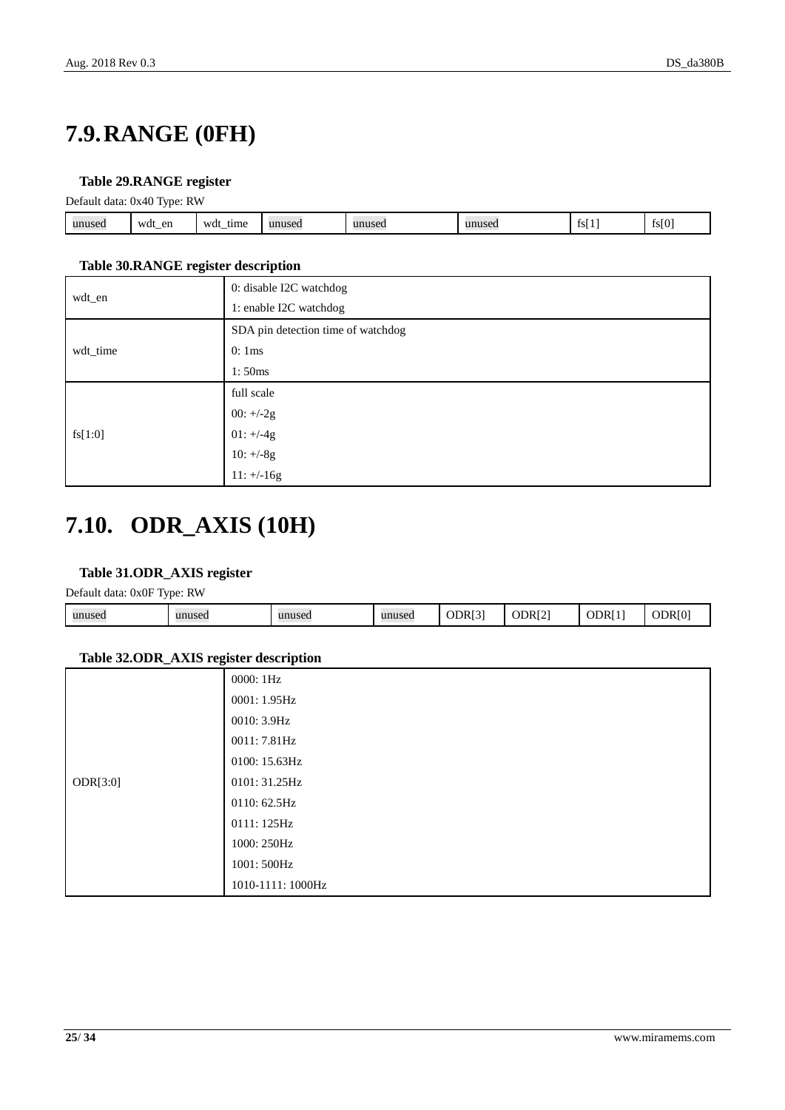## <span id="page-24-0"></span>**7.9.RANGE (0FH)**

#### <span id="page-24-2"></span>**Table 29.RANGE register**

Default data: 0x40 Type: RW

|        | . .              |                           |        |        |                |             |       |
|--------|------------------|---------------------------|--------|--------|----------------|-------------|-------|
| unuseo | en<br>wdt<br>$-$ | wdt<br>tıme<br>$-$<br>___ | unused | unuseo | 32.00<br>1100t | - -<br>151. | fs[0] |
|        |                  |                           |        |        |                |             |       |

#### <span id="page-24-3"></span>**Table 30.RANGE register description**

|          | 0: disable I2C watchdog            |  |  |  |  |
|----------|------------------------------------|--|--|--|--|
| wdt_en   | 1: enable I2C watchdog             |  |  |  |  |
|          | SDA pin detection time of watchdog |  |  |  |  |
| wdt_time | 0:1ms                              |  |  |  |  |
|          | 1:50ms                             |  |  |  |  |
|          | full scale                         |  |  |  |  |
| fs[1:0]  | $00: +/-2g$                        |  |  |  |  |
|          | $01: +/-4g$                        |  |  |  |  |
|          | $10: +/-8g$                        |  |  |  |  |
|          | $11: +/-16g$                       |  |  |  |  |

## <span id="page-24-1"></span>**7.10. ODR\_AXIS (10H)**

#### <span id="page-24-4"></span>**Table 31.ODR\_AXIS register**

Default data: 0x0F Type: RW

| - -    |        |        |        |        |                    |          |        |
|--------|--------|--------|--------|--------|--------------------|----------|--------|
| unused | unused | unuseo | unused | ODR[3] | ODR <sub>[2]</sub> | DR<br>ر. | ODR[0] |
|        |        |        |        |        |                    |          |        |

#### <span id="page-24-5"></span>**Table 32.ODR\_AXIS register description**

| ÷        |                   |
|----------|-------------------|
|          | 0000: 1Hz         |
|          | 0001: 1.95 Hz     |
|          | 0010: 3.9Hz       |
|          | 0011: 7.81Hz      |
|          | 0100: 15.63Hz     |
| ODR[3:0] | 0101: 31.25Hz     |
|          | 0110: 62.5Hz      |
|          | 0111:125Hz        |
|          | 1000: 250Hz       |
|          | 1001: 500Hz       |
|          | 1010-1111: 1000Hz |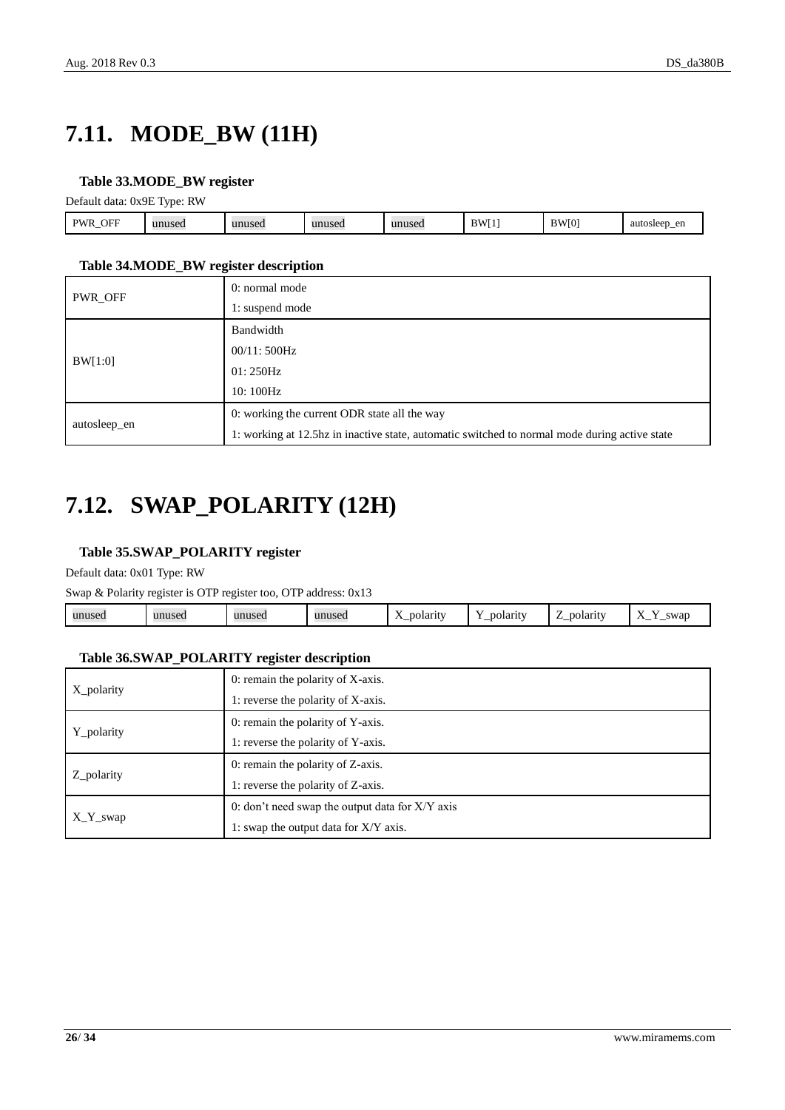## <span id="page-25-0"></span>**7.11. MODE\_BW (11H)**

#### <span id="page-25-2"></span>**Table 33.MODE\_BW register**

Default data: 0x9E Type: RW

|                               | _____                          |        |                       |                       |                       |              |                         |
|-------------------------------|--------------------------------|--------|-----------------------|-----------------------|-----------------------|--------------|-------------------------|
| ЭFГ<br><b>DW</b><br><u>-_</u> | $\mathbf{u}$<br>1100c<br>uset. | unused | $\mathbf{u}$<br>nusec | 1000<br>111<br>$\sim$ | RW <sub>[1</sub><br>- | <b>BW[0]</b> | aut<br>∩∩ť<br>۱ć<br>JH. |
|                               |                                |        |                       |                       |                       |              |                         |

#### <span id="page-25-3"></span>**Table 34.MODE\_BW register description**

|              | 0: normal mode                                                                                |  |  |  |  |  |
|--------------|-----------------------------------------------------------------------------------------------|--|--|--|--|--|
| PWR_OFF      | 1: suspend mode                                                                               |  |  |  |  |  |
| BW[1:0]      | Bandwidth                                                                                     |  |  |  |  |  |
|              | 00/11:500Hz                                                                                   |  |  |  |  |  |
|              | 01:250Hz                                                                                      |  |  |  |  |  |
|              | 10:100Hz                                                                                      |  |  |  |  |  |
|              | 0: working the current ODR state all the way                                                  |  |  |  |  |  |
| autosleep_en | 1: working at 12.5hz in inactive state, automatic switched to normal mode during active state |  |  |  |  |  |

## <span id="page-25-1"></span>**7.12. SWAP\_POLARITY (12H)**

#### <span id="page-25-4"></span>**Table 35.SWAP\_POLARITY register**

Default data: 0x01 Type: RW

Swap & Polarity register is OTP register too, OTP address: 0x13

| ----- | <br>unused | unused. | $\mathbf{r}$<br>noi.<br>10.444<br>$\overline{\phantom{a}}$<br>-<br>. | oolarıt<br>— | polarit<br>. .<br>. | $\overline{\phantom{0}}$<br>swar<br>$\overline{\phantom{a}}$<br>. —<br>$\overline{\phantom{a}}$ |
|-------|------------|---------|----------------------------------------------------------------------|--------------|---------------------|-------------------------------------------------------------------------------------------------|
|       |            |         |                                                                      |              |                     |                                                                                                 |

#### <span id="page-25-5"></span>**Table 36.SWAP\_POLARITY register description**

|              | 0: remain the polarity of X-axis.                 |  |  |  |  |
|--------------|---------------------------------------------------|--|--|--|--|
| X_polarity   | 1: reverse the polarity of X-axis.                |  |  |  |  |
|              | 0: remain the polarity of Y-axis.                 |  |  |  |  |
| Y_polarity   | 1: reverse the polarity of Y-axis.                |  |  |  |  |
|              | 0: remain the polarity of Z-axis.                 |  |  |  |  |
| Z_polarity   | 1: reverse the polarity of Z-axis.                |  |  |  |  |
|              | 0: don't need swap the output data for $X/Y$ axis |  |  |  |  |
| $X_Y_{swap}$ | 1: swap the output data for $X/Y$ axis.           |  |  |  |  |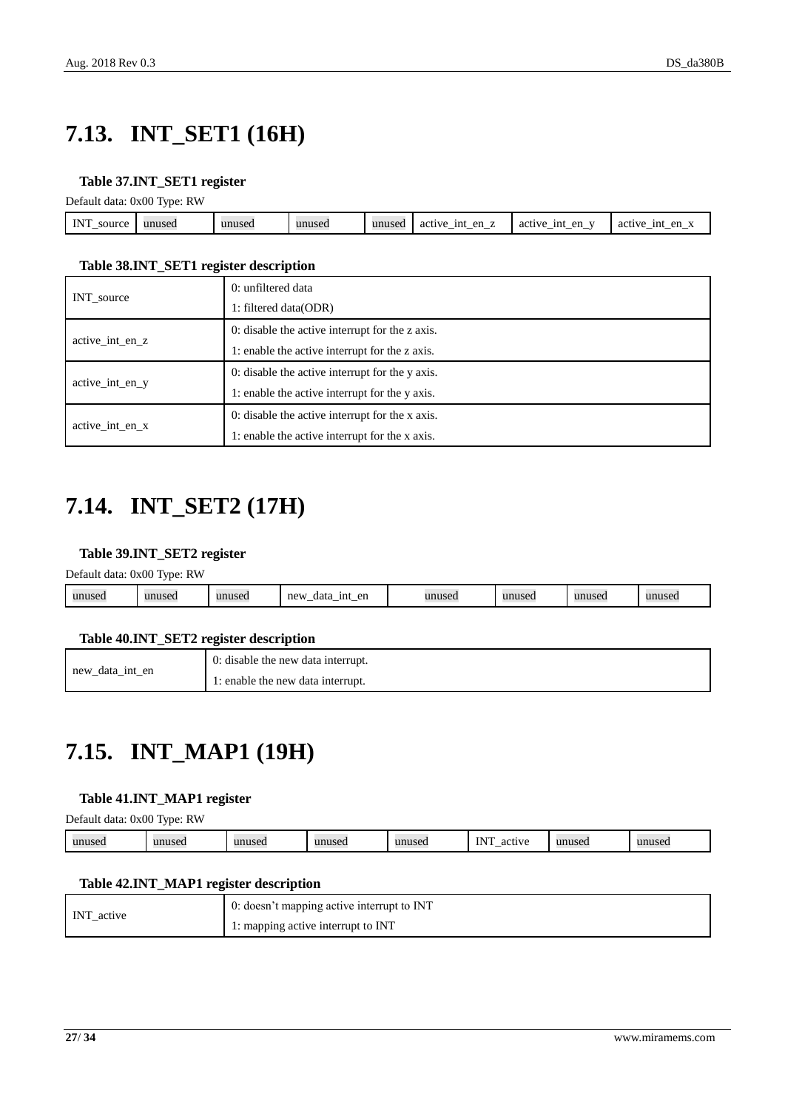## <span id="page-26-0"></span>**7.13. INT\_SET1 (16H)**

#### <span id="page-26-3"></span>**Table 37.INT\_SET1 register**

Default data: 0x00 Type: RW

| <b>INIT</b><br>source<br>-- | unused | unused | unuseo | unusec | --<br>$\alpha$ m<br>1nt<br>active<br>UI.<br>$\overline{\phantom{0}}$ | 1n1<br>en<br>$\mathbf{v}$<br>active<br>. —<br>—<br>—<br>--- | 1nt<br>en<br>active |
|-----------------------------|--------|--------|--------|--------|----------------------------------------------------------------------|-------------------------------------------------------------|---------------------|
|                             |        |        |        |        |                                                                      |                                                             |                     |

#### <span id="page-26-4"></span>**Table 38.INT\_SET1 register description**

|                 | 0: unfiltered data                              |
|-----------------|-------------------------------------------------|
| INT_source      | 1: filtered data(ODR)                           |
| active int en z | 0: disable the active interrupt for the z axis. |
|                 | 1: enable the active interrupt for the z axis.  |
| active int en y | 0: disable the active interrupt for the y axis. |
|                 | 1: enable the active interrupt for the y axis.  |
|                 | 0: disable the active interrupt for the x axis. |
| active int en x | 1: enable the active interrupt for the x axis.  |

## <span id="page-26-1"></span>**7.14. INT\_SET2 (17H)**

#### <span id="page-26-5"></span>**Table 39.INT\_SET2 register**

| Default data: 0x00 Type: RW |  |
|-----------------------------|--|

|  | unused | unused | unused | new<br>en<br>1nt<br>data<br>._<br>_<br>_ | unused | unusec | unused | unusec |
|--|--------|--------|--------|------------------------------------------|--------|--------|--------|--------|
|--|--------|--------|--------|------------------------------------------|--------|--------|--------|--------|

#### <span id="page-26-6"></span>**Table 40.INT\_SET2 register description**

|                    | 0: disable the new data interrupt. |
|--------------------|------------------------------------|
| new<br>data int en | : enable the new data interrupt.   |

## <span id="page-26-2"></span>**7.15. INT\_MAP1 (19H)**

#### <span id="page-26-7"></span>**Table 41.INT\_MAP1 register**

Default data: 0x00 Type: RW

| <b>INT</b><br>unused<br>001110<br>unusec<br>unuseo<br>$\mathbf{u}$<br>unused<br>145C<br>$\alpha$<br>LSULI<br>w<br>$\sim$<br>--<br>the contract of the contract of<br>$\sim$ |  |
|-----------------------------------------------------------------------------------------------------------------------------------------------------------------------------|--|
|-----------------------------------------------------------------------------------------------------------------------------------------------------------------------------|--|

#### <span id="page-26-8"></span>**Table 42.INT\_MAP1 register description**

| INT active | $\cdot$ 0: doesn't mapping active interrupt to INT |
|------------|----------------------------------------------------|
|            | 1: mapping active interrupt to INT                 |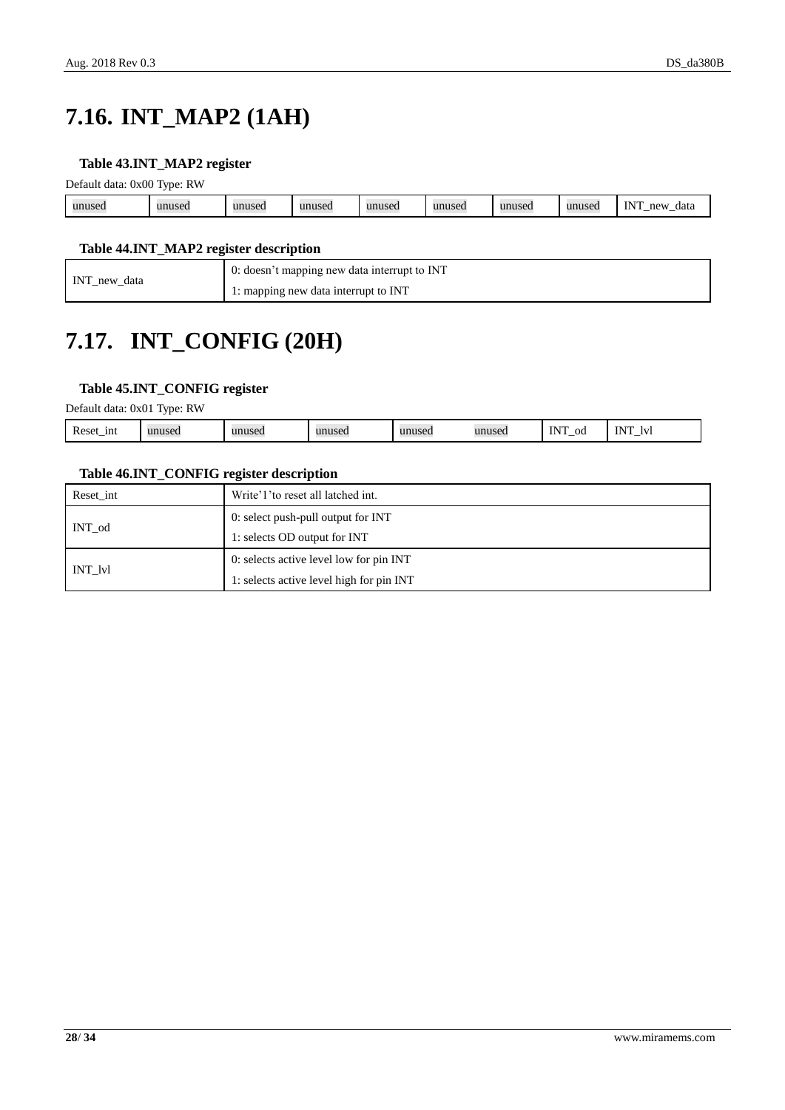## <span id="page-27-0"></span>**7.16. INT\_MAP2 (1AH)**

#### <span id="page-27-2"></span>**Table 43.INT\_MAP2 register**

|        | Default data: 0x00 Type: RW |        |        |        |        |        |        |                                 |  |
|--------|-----------------------------|--------|--------|--------|--------|--------|--------|---------------------------------|--|
| unused | unused                      | unused | unused | unused | unused | unused | unusec | <b>INT</b><br>new<br>_data<br>_ |  |

#### <span id="page-27-3"></span>**Table 44.INT\_MAP2 register description**

| data      | 0: doesn't mapping new data interrupt to INT |
|-----------|----------------------------------------------|
| $INT_new$ | 1: mapping new data interrupt to INT         |

## <span id="page-27-1"></span>**7.17. INT\_CONFIG (20H)**

#### <span id="page-27-4"></span>**Table 45.INT\_CONFIG register**

Default data: 0x01 Type: RW

|  | $\sqrt{ }$<br>Reset<br>ını<br>$\ddotsc$<br>-- | unusec | unused. | IIDIIC <sub>20</sub><br>LSCL. | $\mathbf{u}\mathbf{n}\mathbf{n}\mathbf{n}$<br>150. | 1011000<br>15 U | $-$<br>ΟC | $\sim$<br>Iv |
|--|-----------------------------------------------|--------|---------|-------------------------------|----------------------------------------------------|-----------------|-----------|--------------|
|--|-----------------------------------------------|--------|---------|-------------------------------|----------------------------------------------------|-----------------|-----------|--------------|

#### <span id="page-27-5"></span>**Table 46.INT\_CONFIG register description**

| Reset int | Write'1' to reset all latched int.       |
|-----------|------------------------------------------|
|           | 0: select push-pull output for INT       |
| INT od    | 1: selects OD output for INT             |
|           | 0: selects active level low for pin INT  |
| INT lvl   | 1: selects active level high for pin INT |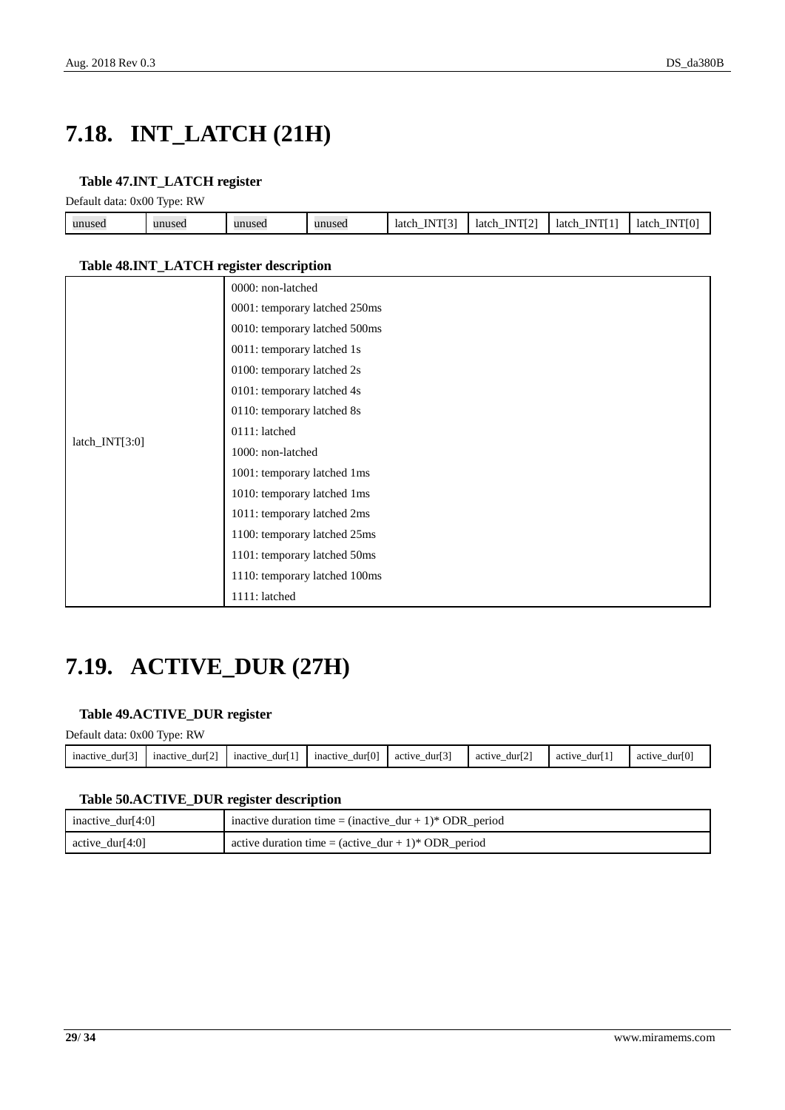## <span id="page-28-0"></span>**7.18. INT\_LATCH (21H)**

#### <span id="page-28-2"></span>**Table 47.INT\_LATCH register**

Default data: 0x00 Type: RW

| unused | 110Q<br>1112<br>unused | unused | unused | N<br>latch<br>$\overline{\phantom{a}}$<br> | $ m$ $-$<br>latch<br>ш<br><br>- | <b>The Terms of A</b><br>N<br>latch<br> | T T T T T T<br>IN<br>latch<br>., |
|--------|------------------------|--------|--------|--------------------------------------------|---------------------------------|-----------------------------------------|----------------------------------|
|        |                        |        |        |                                            |                                 |                                         |                                  |

#### <span id="page-28-3"></span>**Table 48.INT\_LATCH register description**

|                | 0000: non-latched             |
|----------------|-------------------------------|
|                | 0001: temporary latched 250ms |
|                | 0010: temporary latched 500ms |
|                | 0011: temporary latched 1s    |
|                | 0100: temporary latched 2s    |
|                | 0101: temporary latched 4s    |
|                | 0110: temporary latched 8s    |
|                | 0111: latched                 |
| latch_INT[3:0] | 1000: non-latched             |
|                | 1001: temporary latched 1ms   |
|                | 1010: temporary latched 1ms   |
|                | 1011: temporary latched 2ms   |
|                | 1100: temporary latched 25ms  |
|                | 1101: temporary latched 50ms  |
|                | 1110: temporary latched 100ms |
|                | 1111: latched                 |

## <span id="page-28-1"></span>**7.19. ACTIVE\_DUR (27H)**

#### <span id="page-28-4"></span>**Table 49.ACTIVE\_DUR register**

Default data: 0x00 Type: RW

| r a t<br><i>nactive</i><br>dur<br>$\overline{\phantom{a}}$ | <b>LOJ</b><br>durl 2<br>mactive | <b>CAN</b><br>mactive<br>durl<br>$\overline{\phantom{a}}$ | dur[0]<br>mactive<br>$\overline{\phantom{a}}$ | <b>EOT</b><br>durl 3<br>active<br>$\overline{\phantom{a}}$ | <b>EAT</b><br>durl2<br>active<br>$\overline{\phantom{a}}$ | durl<br>active | durl (<br>active<br>- |
|------------------------------------------------------------|---------------------------------|-----------------------------------------------------------|-----------------------------------------------|------------------------------------------------------------|-----------------------------------------------------------|----------------|-----------------------|
|                                                            |                                 |                                                           |                                               |                                                            |                                                           |                |                       |

#### <span id="page-28-5"></span>**Table 50.ACTIVE\_DUR register description**

| inactive_dur[4:0] | inactive duration time = $(inactive_dur + 1)*ODR_period$                |
|-------------------|-------------------------------------------------------------------------|
| active_dur[4:0]   | active duration time = $(\text{active\_dur} + 1)^* \text{ ODR\_period}$ |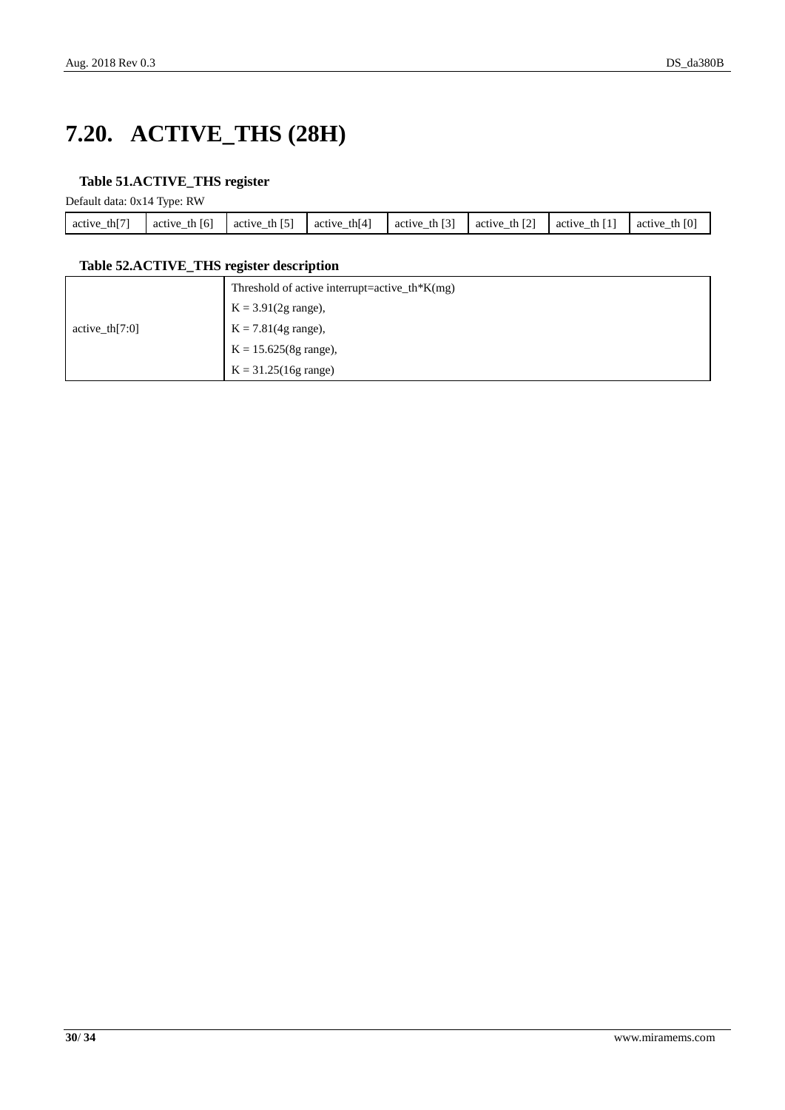## <span id="page-29-0"></span>**7.20. ACTIVE\_THS (28H)**

#### <span id="page-29-1"></span>**Table 51.ACTIVE\_THS register**

Default data: 0x14 Type: RW

| <b>COLLE</b><br>thľ<br>active | [6]<br>active the | $F - T$<br>active<br>th Ibl | th $[4]$<br>active<br>— | . [3]<br>th<br>active | $\Gamma$ 21<br>th $12$<br>active<br>— | th<br>active<br>— | th $[0]$<br>active |
|-------------------------------|-------------------|-----------------------------|-------------------------|-----------------------|---------------------------------------|-------------------|--------------------|
|                               |                   |                             |                         |                       |                                       |                   |                    |

#### <span id="page-29-2"></span>**Table 52.ACTIVE\_THS register description**

|                   | Threshold of active interrupt=active_th*K(mg) |
|-------------------|-----------------------------------------------|
|                   | $K = 3.91(2g \text{ range})$ ,                |
| active_th $[7:0]$ | $K = 7.81(4g \text{ range})$ ,                |
|                   | $K = 15.625(8g \text{ range}),$               |
|                   | $K = 31.25(16g \text{ range})$                |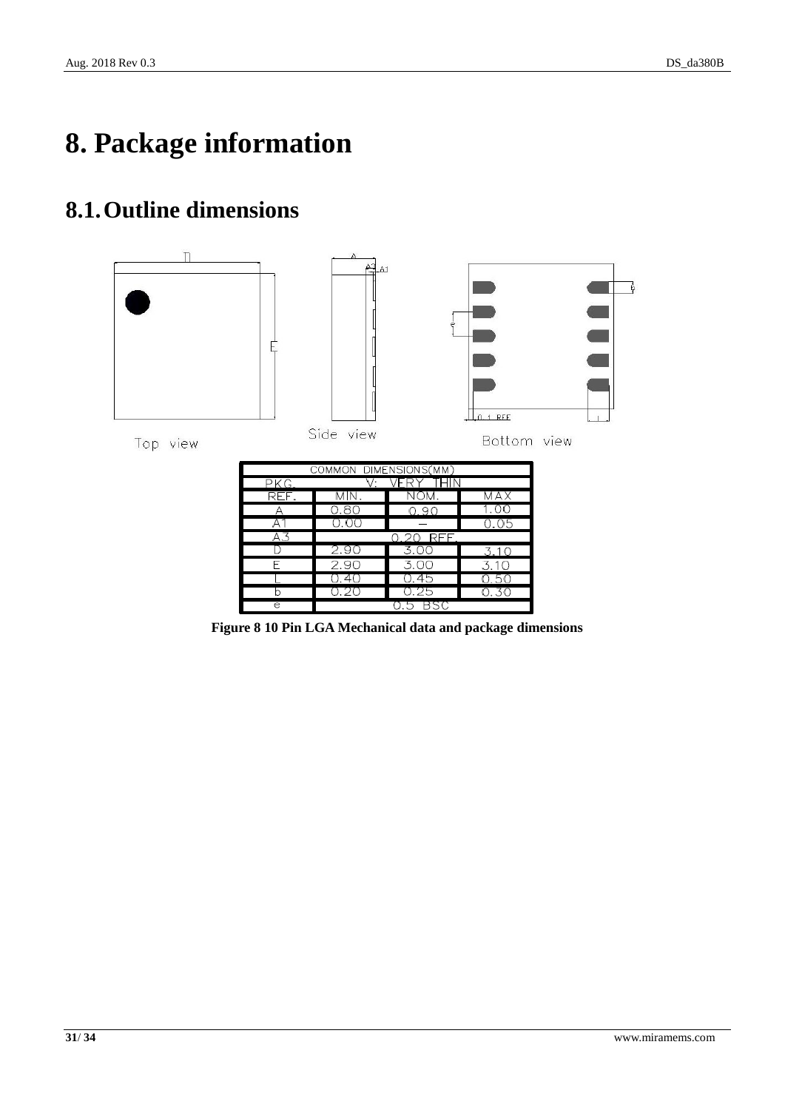# <span id="page-30-0"></span>**8. Package information**

### <span id="page-30-1"></span>**8.1.Outline dimensions**



<span id="page-30-2"></span>**Figure 8 10 Pin LGA Mechanical data and package dimensions**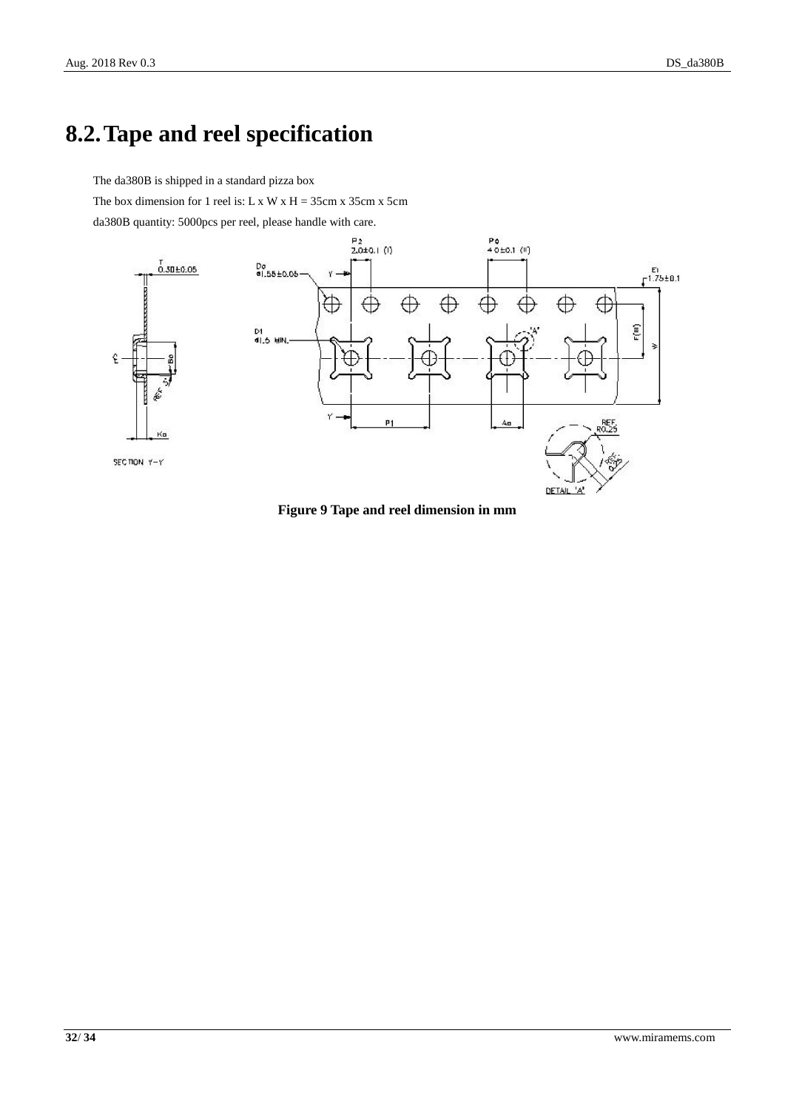### <span id="page-31-0"></span>**8.2.Tape and reel specification**

The da380B is shipped in a standard pizza box

The box dimension for 1 reel is: L x W x H =  $35cm x 35cm x 5cm$ 

da380B quantity: 5000pcs per reel, please handle with care.



<span id="page-31-1"></span>**Figure 9 Tape and reel dimension in mm**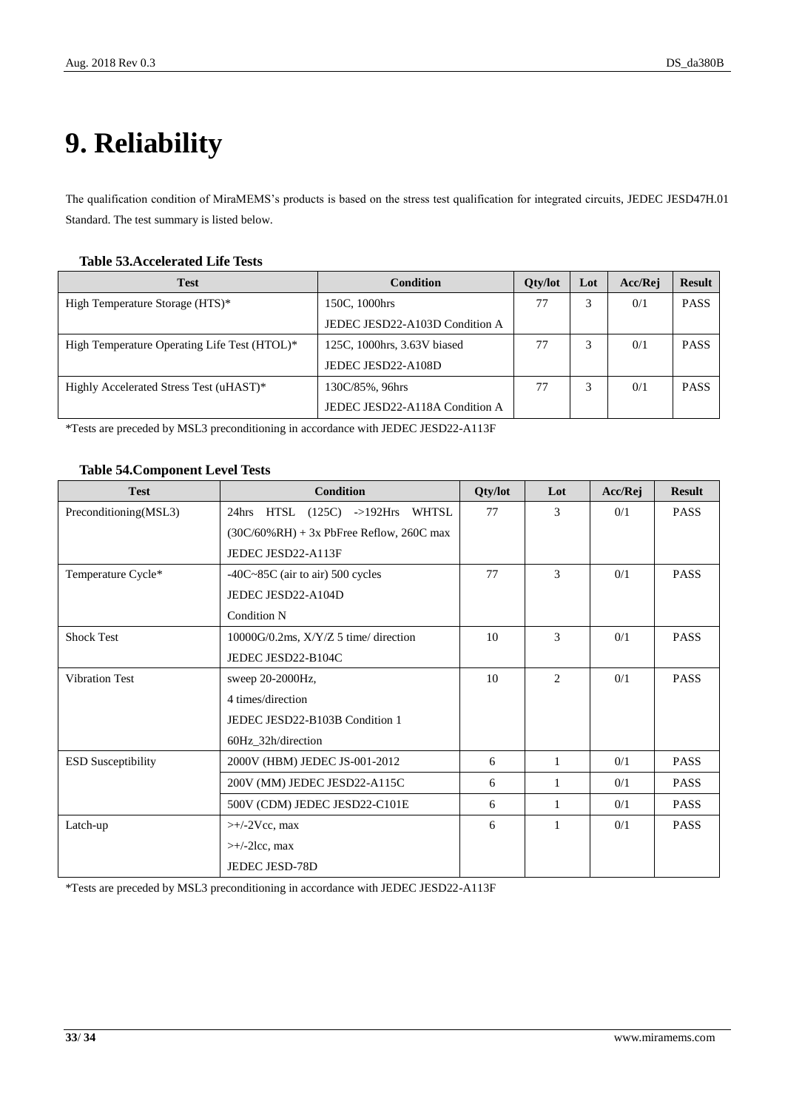# <span id="page-32-0"></span>**9. Reliability**

The qualification condition of MiraMEMS's products is based on the stress test qualification for integrated circuits, JEDEC JESD47H.01 Standard. The test summary is listed below.

#### <span id="page-32-1"></span>**Table 53.Accelerated Life Tests**

| <b>Test</b>                                  | Condition                      | <b>Oty/lot</b> | Lot | Acc/Rej | <b>Result</b> |
|----------------------------------------------|--------------------------------|----------------|-----|---------|---------------|
| High Temperature Storage (HTS)*              | 150C, 1000hrs                  | 77             |     | 0/1     | <b>PASS</b>   |
|                                              | JEDEC JESD22-A103D Condition A |                |     |         |               |
| High Temperature Operating Life Test (HTOL)* | 125C, 1000hrs, 3.63V biased    | 77             |     | 0/1     | <b>PASS</b>   |
|                                              | JEDEC JESD22-A108D             |                |     |         |               |
| Highly Accelerated Stress Test (uHAST)*      | 130C/85%, 96hrs                | 77             |     | 0/1     | <b>PASS</b>   |
|                                              | JEDEC JESD22-A118A Condition A |                |     |         |               |

\*Tests are preceded by MSL3 preconditioning in accordance with JEDEC JESD22-A113F

#### <span id="page-32-2"></span>**Table 54.Component Level Tests**

| <b>Test</b>               | <b>Condition</b>                             | Qty/lot | Lot            | Acc/Rej | <b>Result</b> |
|---------------------------|----------------------------------------------|---------|----------------|---------|---------------|
| Preconditioning(MSL3)     | 24hrs HTSL (125C) ->192Hrs WHTSL             | 77      | 3              | 0/1     | <b>PASS</b>   |
|                           | $(30C/60\% RH) + 3x$ PbFree Reflow, 260C max |         |                |         |               |
|                           | JEDEC JESD22-A113F                           |         |                |         |               |
| Temperature Cycle*        | $-40C-85C$ (air to air) 500 cycles           | 77      | 3              | 0/1     | <b>PASS</b>   |
|                           | JEDEC JESD22-A104D                           |         |                |         |               |
|                           | <b>Condition N</b>                           |         |                |         |               |
| <b>Shock Test</b>         | $10000G/0.2ms$ , $X/Y/Z$ 5 time/ direction   | 10      | 3              | 0/1     | <b>PASS</b>   |
|                           | JEDEC JESD22-B104C                           |         |                |         |               |
| <b>Vibration Test</b>     | sweep 20-2000Hz,                             | 10      | $\overline{2}$ | 0/1     | <b>PASS</b>   |
|                           | 4 times/direction                            |         |                |         |               |
|                           | JEDEC JESD22-B103B Condition 1               |         |                |         |               |
|                           | 60Hz_32h/direction                           |         |                |         |               |
| <b>ESD Susceptibility</b> | 2000V (HBM) JEDEC JS-001-2012                | 6       | 1              | 0/1     | <b>PASS</b>   |
|                           | 200V (MM) JEDEC JESD22-A115C                 | 6       | 1              | 0/1     | <b>PASS</b>   |
|                           | 500V (CDM) JEDEC JESD22-C101E                | 6       | $\mathbf{1}$   | 0/1     | <b>PASS</b>   |
| Latch-up                  | $\rightarrow$ +/-2Vcc, max                   | 6       | 1              | 0/1     | <b>PASS</b>   |
|                           | $\rightarrow$ +/-2lcc, max                   |         |                |         |               |
|                           | <b>JEDEC JESD-78D</b>                        |         |                |         |               |

\*Tests are preceded by MSL3 preconditioning in accordance with JEDEC JESD22-A113F